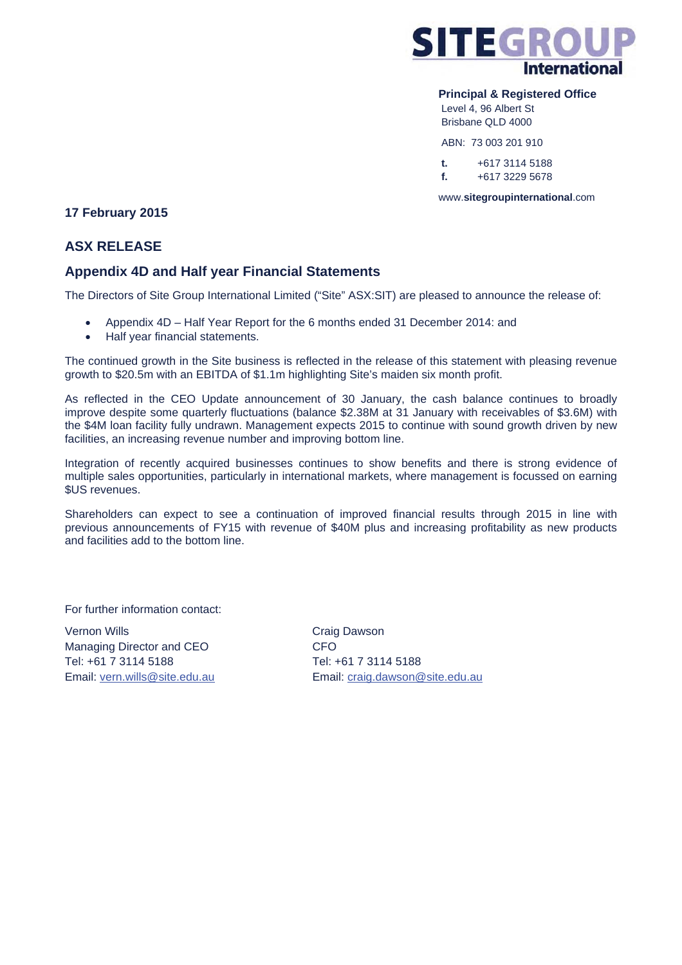

#### **Principal & Registered Office**

 Level 4, 96 Albert St Brisbane QLD 4000

ABN: 73 003 201 910

 **t.** +617 3114 5188  **f.** +617 3229 5678

www.**sitegroupinternational**.com

# **17 February 2015**

# **ASX RELEASE**

# **Appendix 4D and Half year Financial Statements**

The Directors of Site Group International Limited ("Site" ASX:SIT) are pleased to announce the release of:

- Appendix 4D Half Year Report for the 6 months ended 31 December 2014: and
- Half year financial statements.

The continued growth in the Site business is reflected in the release of this statement with pleasing revenue growth to \$20.5m with an EBITDA of \$1.1m highlighting Site's maiden six month profit.

As reflected in the CEO Update announcement of 30 January, the cash balance continues to broadly improve despite some quarterly fluctuations (balance \$2.38M at 31 January with receivables of \$3.6M) with the \$4M loan facility fully undrawn. Management expects 2015 to continue with sound growth driven by new facilities, an increasing revenue number and improving bottom line.

Integration of recently acquired businesses continues to show benefits and there is strong evidence of multiple sales opportunities, particularly in international markets, where management is focussed on earning \$US revenues.

Shareholders can expect to see a continuation of improved financial results through 2015 in line with previous announcements of FY15 with revenue of \$40M plus and increasing profitability as new products and facilities add to the bottom line.

For further information contact:

Vernon Wills **Craig Dawson** Managing Director and CEO **CFO** Tel: +61 7 3114 5188 Tel: +61 7 3114 5188

Email: vern.wills@site.edu.au Email: craig.dawson@site.edu.au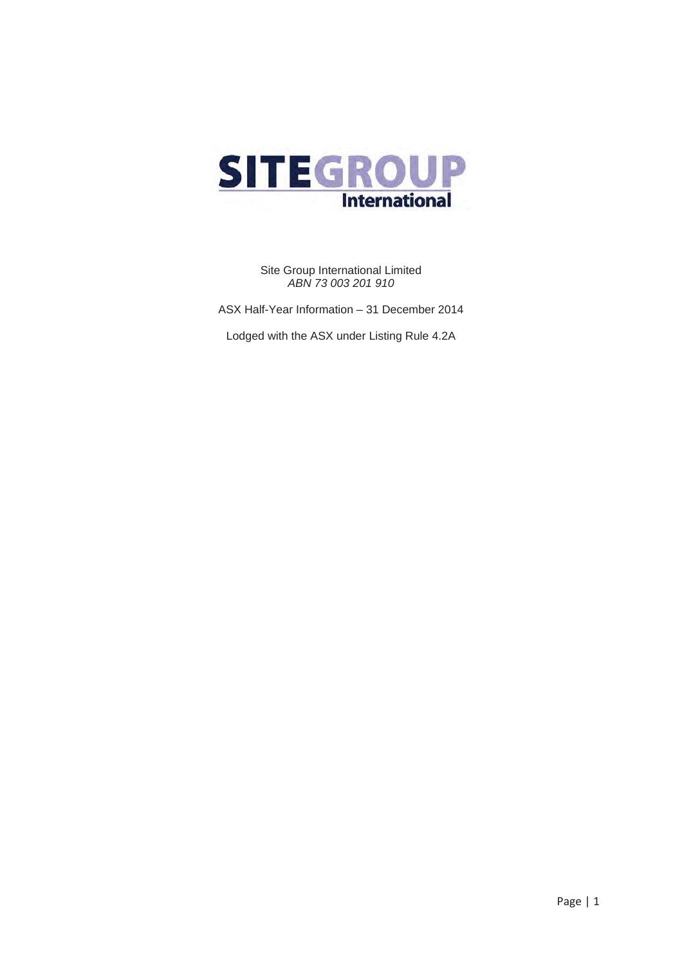

Site Group International Limited *ABN 73 003 201 910*

ASX Half-Year Information – 31 December 2014

Lodged with the ASX under Listing Rule 4.2A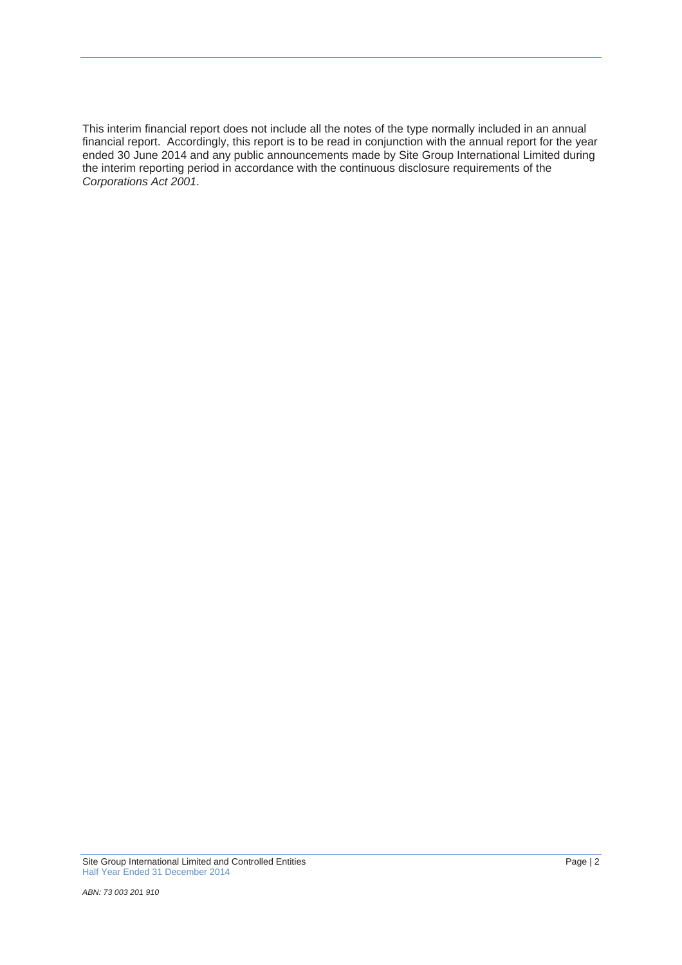This interim financial report does not include all the notes of the type normally included in an annual financial report. Accordingly, this report is to be read in conjunction with the annual report for the year ended 30 June 2014 and any public announcements made by Site Group International Limited during the interim reporting period in accordance with the continuous disclosure requirements of the *Corporations Act 2001*.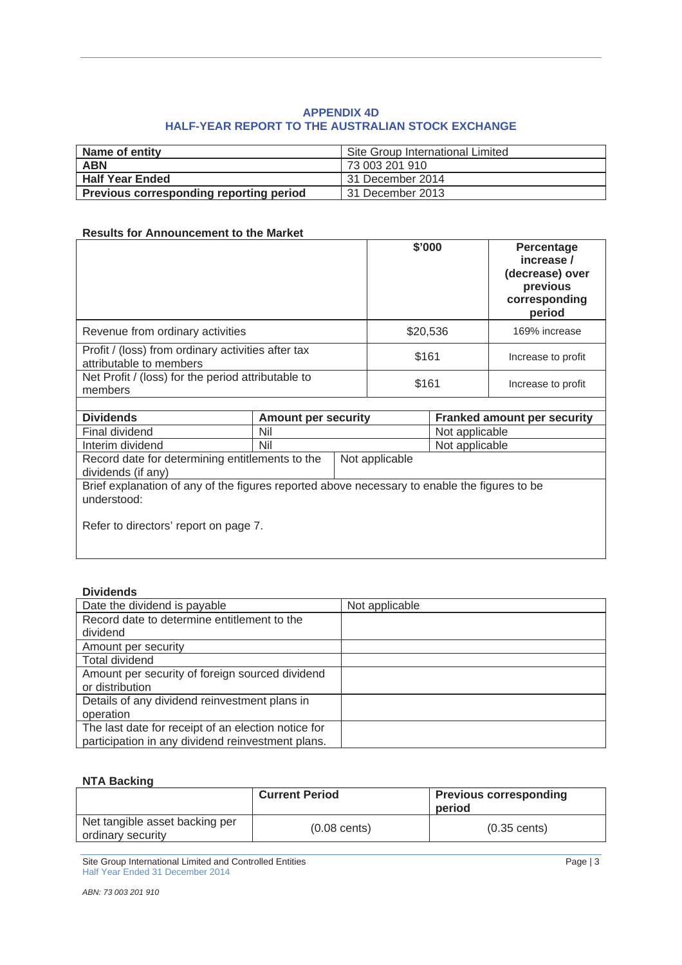## **APPENDIX 4D HALF-YEAR REPORT TO THE AUSTRALIAN STOCK EXCHANGE**

| Name of entity                                 | Site Group International Limited |
|------------------------------------------------|----------------------------------|
| <b>ABN</b>                                     | 73 003 201 910                   |
| <b>Half Year Ended</b>                         | 31 December 2014                 |
| <b>Previous corresponding reporting period</b> | 31 December 2013                 |

#### **Results for Announcement to the Market**

|                                                                               | \$'000   | Percentage<br>increase /<br>(decrease) over<br>previous<br>corresponding<br>period |
|-------------------------------------------------------------------------------|----------|------------------------------------------------------------------------------------|
| Revenue from ordinary activities                                              | \$20,536 | 169% increase                                                                      |
| Profit / (loss) from ordinary activities after tax<br>attributable to members | \$161    | Increase to profit                                                                 |
| Net Profit / (loss) for the period attributable to<br>members                 | \$161    | Increase to profit                                                                 |
|                                                                               |          |                                                                                    |

| <b>Dividends</b>                                                                                            | <b>Amount per security</b> |                | <b>Franked amount per security</b> |  |
|-------------------------------------------------------------------------------------------------------------|----------------------------|----------------|------------------------------------|--|
| Final dividend                                                                                              | Nil                        |                | Not applicable                     |  |
| Interim dividend                                                                                            | Nil                        |                | Not applicable                     |  |
| Record date for determining entitlements to the                                                             |                            | Not applicable |                                    |  |
| dividends (if any)                                                                                          |                            |                |                                    |  |
| Brief explanation of any of the figures reported above necessary to enable the figures to be<br>understood: |                            |                |                                    |  |
| Refer to directors' report on page 7.                                                                       |                            |                |                                    |  |

#### **Dividends**

| Date the dividend is payable                        | Not applicable |
|-----------------------------------------------------|----------------|
| Record date to determine entitlement to the         |                |
| dividend                                            |                |
| Amount per security                                 |                |
| <b>Total dividend</b>                               |                |
| Amount per security of foreign sourced dividend     |                |
| or distribution                                     |                |
| Details of any dividend reinvestment plans in       |                |
| operation                                           |                |
| The last date for receipt of an election notice for |                |
| participation in any dividend reinvestment plans.   |                |

#### **NTA Backing**

|                                                     | <b>Current Period</b>  | <b>Previous corresponding</b><br>period |
|-----------------------------------------------------|------------------------|-----------------------------------------|
| Net tangible asset backing per<br>ordinary security | $(0.08 \text{ cents})$ | $(0.35 \text{ cents})$                  |

Site Group International Limited and Controlled Entities Page | 3 Half Year Ended 31 December 2014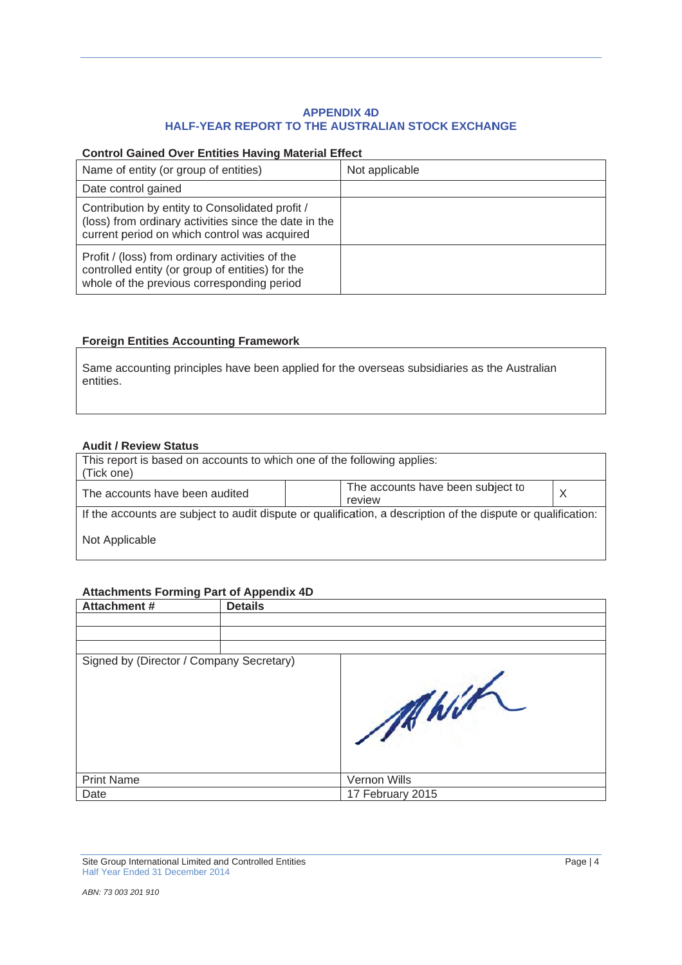## HALF-YEAR REPORT TO THE AUSTRALIAN STOCK EXCHANGE **APPENDIX 4D**

#### **Control Gained Over Entities Having Material Effect**

|                                                                                                                                                          |                | <b>APPENDIX 4D</b><br><b>HALF-YEAR REPORT TO THE AUSTRALIAN STOCK EXCHANGE</b>                                |         |
|----------------------------------------------------------------------------------------------------------------------------------------------------------|----------------|---------------------------------------------------------------------------------------------------------------|---------|
| <b>Control Gained Over Entities Having Material Effect</b>                                                                                               |                |                                                                                                               |         |
| Name of entity (or group of entities)                                                                                                                    |                | Not applicable                                                                                                |         |
| Date control gained                                                                                                                                      |                |                                                                                                               |         |
| Contribution by entity to Consolidated profit /<br>(loss) from ordinary activities since the date in the<br>current period on which control was acquired |                |                                                                                                               |         |
| Profit / (loss) from ordinary activities of the<br>controlled entity (or group of entities) for the<br>whole of the previous corresponding period        |                |                                                                                                               |         |
| <b>Foreign Entities Accounting Framework</b>                                                                                                             |                |                                                                                                               |         |
| entities.                                                                                                                                                |                | Same accounting principles have been applied for the overseas subsidiaries as the Australian                  |         |
| <b>Audit / Review Status</b>                                                                                                                             |                |                                                                                                               |         |
| This report is based on accounts to which one of the following applies:<br>(Tick one)                                                                    |                |                                                                                                               |         |
| The accounts have been audited                                                                                                                           |                | The accounts have been subject to<br>review                                                                   | $\sf X$ |
|                                                                                                                                                          |                | If the accounts are subject to audit dispute or qualification, a description of the dispute or qualification: |         |
| Not Applicable                                                                                                                                           |                |                                                                                                               |         |
| <b>Attachments Forming Part of Appendix 4D</b>                                                                                                           |                |                                                                                                               |         |
| <b>Attachment#</b>                                                                                                                                       | <b>Details</b> |                                                                                                               |         |
|                                                                                                                                                          |                |                                                                                                               |         |
|                                                                                                                                                          |                |                                                                                                               |         |
| Signed by (Director / Company Secretary)                                                                                                                 |                |                                                                                                               |         |

## **Foreign Entities Accounting Framework**

## **Audit / Review Status**

| This report is based on accounts to which one of the following applies:<br>(Tick one)                         |                                             |  |  |  |
|---------------------------------------------------------------------------------------------------------------|---------------------------------------------|--|--|--|
| The accounts have been audited                                                                                | The accounts have been subject to<br>review |  |  |  |
| If the accounts are subject to audit dispute or qualification, a description of the dispute or qualification: |                                             |  |  |  |
| Not Applicable                                                                                                |                                             |  |  |  |

## Attachments Forming Part of Appendix 4D

| <b>Attachment #</b>                                      | <b>Details</b> |                  |          |
|----------------------------------------------------------|----------------|------------------|----------|
|                                                          |                |                  |          |
|                                                          |                |                  |          |
|                                                          |                |                  |          |
| Signed by (Director / Company Secretary)                 |                | MANIA            |          |
| <b>Print Name</b>                                        |                | Vernon Wills     |          |
| Date                                                     |                | 17 February 2015 |          |
| Site Group International Limited and Controlled Entities |                |                  | Page   4 |

Half Year Ended 31 December 2014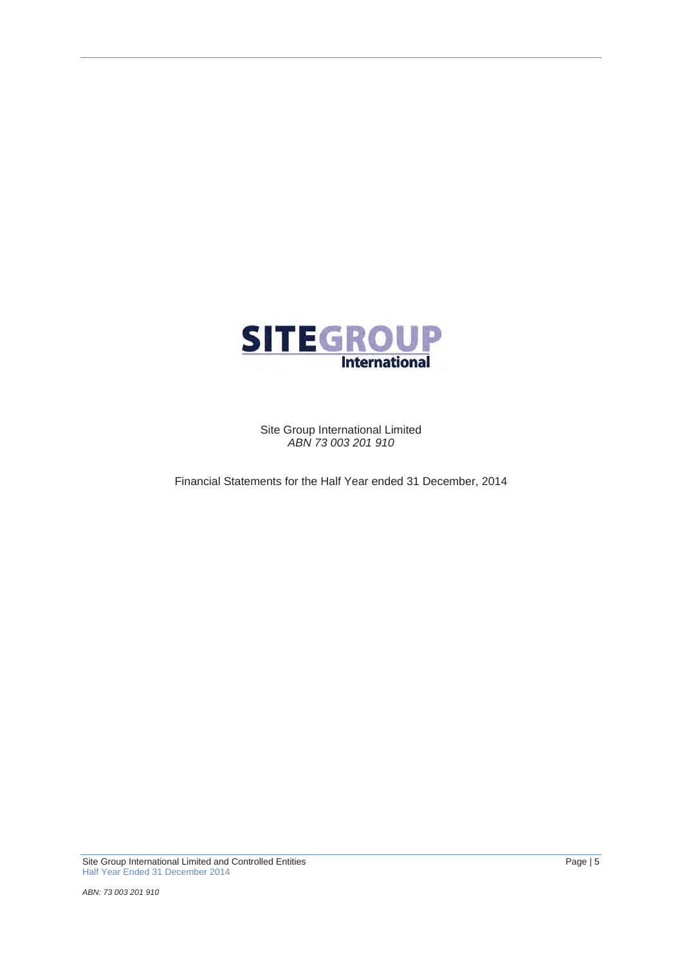

Site Group International Limited *ABN 73 003 201 910*

Financial Statements for the Half Year ended 31 December, 2014

Site Group International Limited and Controlled Entities Page | 5 Half Year Ended 31 December 2014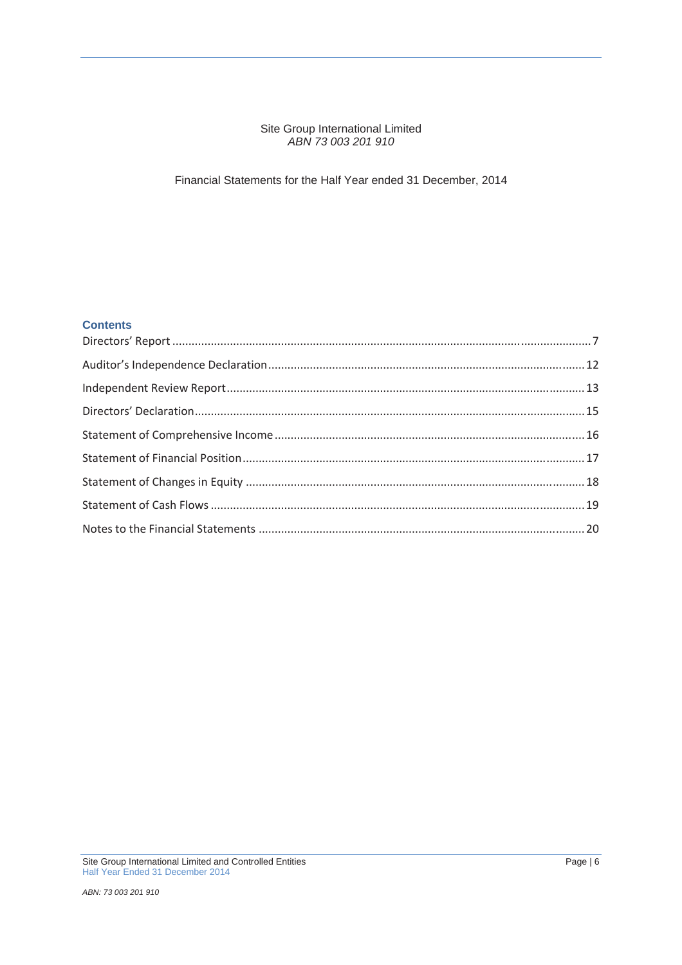#### Site Group International Limited *ABN 73 003 201 910*

## Financial Statements for the Half Year ended 31 December, 2014

## **Contents**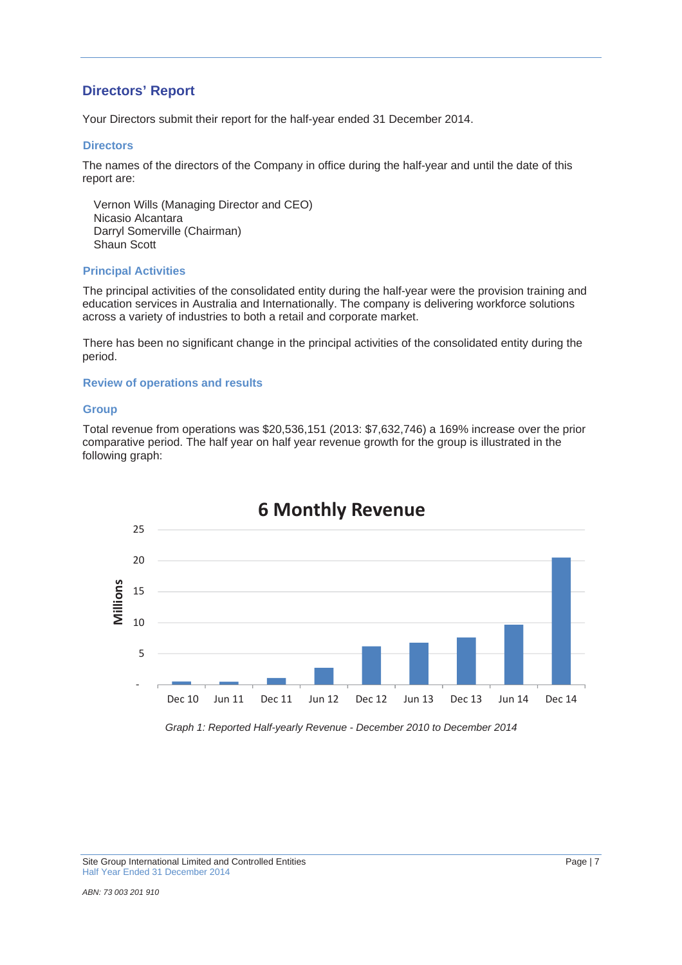# **Directors' Report**

Your Directors submit their report for the half-year ended 31 December 2014.

#### **Directors**

The names of the directors of the Company in office during the half-year and until the date of this report are:

Vernon Wills (Managing Director and CEO) Nicasio Alcantara Darryl Somerville (Chairman) Shaun Scott

#### **Principal Activities**

The principal activities of the consolidated entity during the half-year were the provision training and education services in Australia and Internationally. The company is delivering workforce solutions across a variety of industries to both a retail and corporate market.

There has been no significant change in the principal activities of the consolidated entity during the period.

#### **Review of operations and results**

#### **Group**

Total revenue from operations was \$20,536,151 (2013: \$7,632,746) a 169% increase over the prior comparative period. The half year on half year revenue growth for the group is illustrated in the following graph:



*Graph 1: Reported Half-yearly Revenue - December 2010 to December 2014*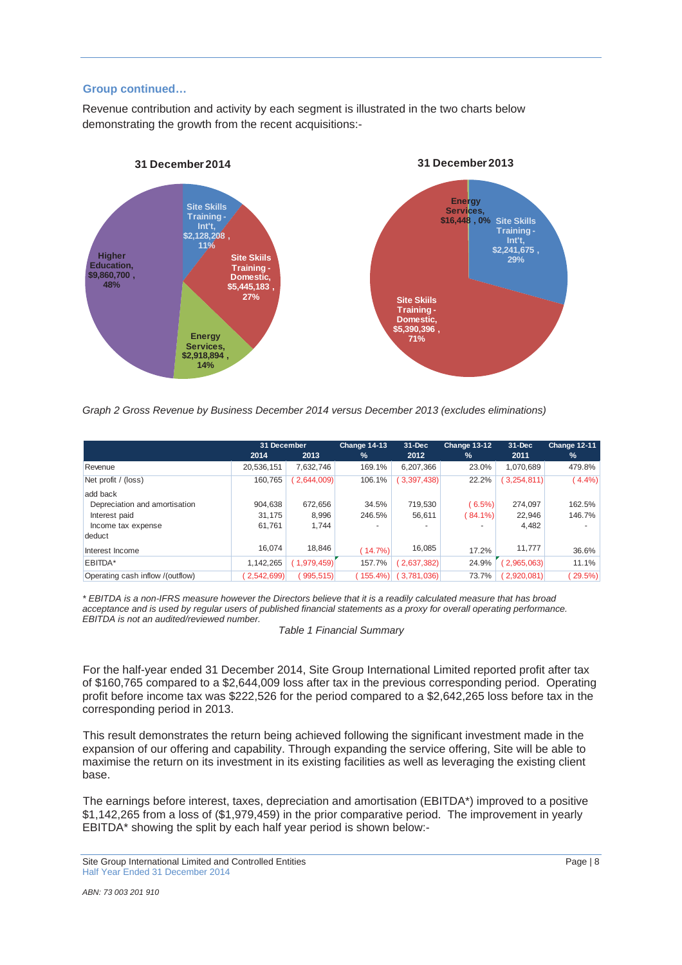#### **Group continued…**

Revenue contribution and activity by each segment is illustrated in the two charts below demonstrating the growth from the recent acquisitions:-



*Graph 2 Gross Revenue by Business December 2014 versus December 2013 (excludes eliminations)*

|                                  | 31 December |            | Change 14-13 | $31 - Dec$  | Change 13-12 | $31 - Dec$  | Change 12-11             |
|----------------------------------|-------------|------------|--------------|-------------|--------------|-------------|--------------------------|
|                                  | 2014        | 2013       | $\%$         | 2012        | %            | 2011        | $\%$                     |
| Revenue                          | 20,536,151  | 7.632.746  | 169.1%       | 6.207.366   | 23.0%        | 1,070,689   | 479.8%                   |
| Net profit / (loss)              | 160.765     | 2,644,009  | 106.1%       | (3,397,438) | 22.2%        | 3,254,811   | $(4.4\%)$                |
| add back                         |             |            |              |             |              |             |                          |
| Depreciation and amortisation    | 904.638     | 672.656    | 34.5%        | 719.530     | $(6.5\%)$    | 274.097     | 162.5%                   |
| Interest paid                    | 31,175      | 8.996      | 246.5%       | 56,611      | 84.1%        | 22.946      | 146.7%                   |
| Income tax expense               | 61,761      | 1,744      | -            |             |              | 4,482       | $\overline{\phantom{a}}$ |
| deduct                           |             |            |              |             |              |             |                          |
| Interest Income                  | 16.074      | 18,846     | $(14.7\%)$   | 16,085      | 17.2%        | 11,777      | 36.6%                    |
| EBITDA*                          | 1,142,265   | 1.979.459) | 157.7%       | 2,637,382   | 24.9%        | (2,965,063) | 11.1%                    |
| Operating cash inflow /(outflow) | 2,542,699)  | 995,515)   | 155.4%       | 3,781,036   | 73.7%        | 2,920,081   | 29.5%                    |

*\* EBITDA is a non-IFRS measure however the Directors believe that it is a readily calculated measure that has broad acceptance and is used by regular users of published financial statements as a proxy for overall operating performance. EBITDA is not an audited/reviewed number.*

*Table 1 Financial Summary*

For the half-year ended 31 December 2014, Site Group International Limited reported profit after tax of \$160,765 compared to a \$2,644,009 loss after tax in the previous corresponding period. Operating profit before income tax was \$222,526 for the period compared to a \$2,642,265 loss before tax in the corresponding period in 2013.

This result demonstrates the return being achieved following the significant investment made in the expansion of our offering and capability. Through expanding the service offering, Site will be able to maximise the return on its investment in its existing facilities as well as leveraging the existing client base.

The earnings before interest, taxes, depreciation and amortisation (EBITDA\*) improved to a positive \$1,142,265 from a loss of (\$1,979,459) in the prior comparative period. The improvement in yearly EBITDA\* showing the split by each half year period is shown below:-

Site Group International Limited and Controlled Entities **Page 18** Page 18 Half Year Ended 31 December 2014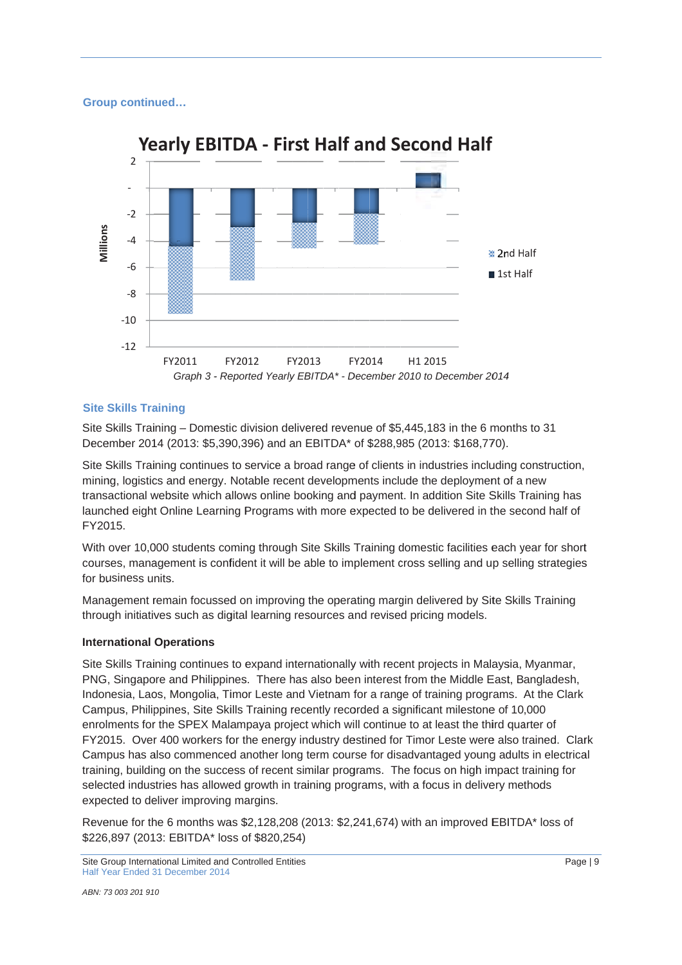## **Group continued...**



# **Site Skills Training**

Site Skills Training - Domestic division delivered revenue of \$5,445,183 in the 6 months to 31 December 2014 (2013: \$5,390,396) and an EBITDA\* of \$288,985 (2013: \$168,770).

Site Skills Training continues to service a broad range of clients in industries including construction, mining, logistics and energy. Notable recent developments include the deployment of a new mining, logistics and energy. Notable recent developments include the deployment of a new<br>transactional website which allows online booking and payment. In addition Site Skills Training has launched eight Online Learning Programs with more expected to be delivered in the second half of FY2015.

With over 10,000 students coming through Site Skills Training domestic facilities each year for short courses, management is confident it will be able to implement cross selling and up selling strategies for business units.

Management remain focussed on improving the operating margin delivered by Site Skills Training through initiatives such as digital learning resources and revised pricing models. g<br>r,

## **lnternational Operations**

Site Skills Training continues to expand internationally with recent projects in Malaysia, Myanmar PNG, Singapore and Philippines. There has also been interest from the Middle East, Bangladesh, Indonesia, Laos, Mongolia, Timor Leste and Vietnam for a range of training programs. At the Clark Campus, Philippines, Site Skills Training recently recorded a significant milestone of 10,000 enrolments for the SPEX Malampaya project which will continue to at least the third quarter of enrolments for the SPEX Malampaya project which will continue to at least the third quarter of<br>FY2015. Over 400 workers for the energy industry destined for Timor Leste were also trained. Clar Campus has also commenced another long term course for disadvantaged young adults in electrical training, building on the success of recent similar programs. The focus on high impact training for selected industries has allowed growth in training programs, with a focus in delivery methods expected to deliver improving margins. rt<br>s<br>irk

expected to deliver improving margins.<br>Revenue for the 6 months was \$2,128,208 (2013: \$2,241,674) with an improved EBITDA\* loss of \$226,897 (2013: EBITDA\* loss of \$820,254)

Site Group International Limited and Controlled Entities Half Year Ended 31 December 2014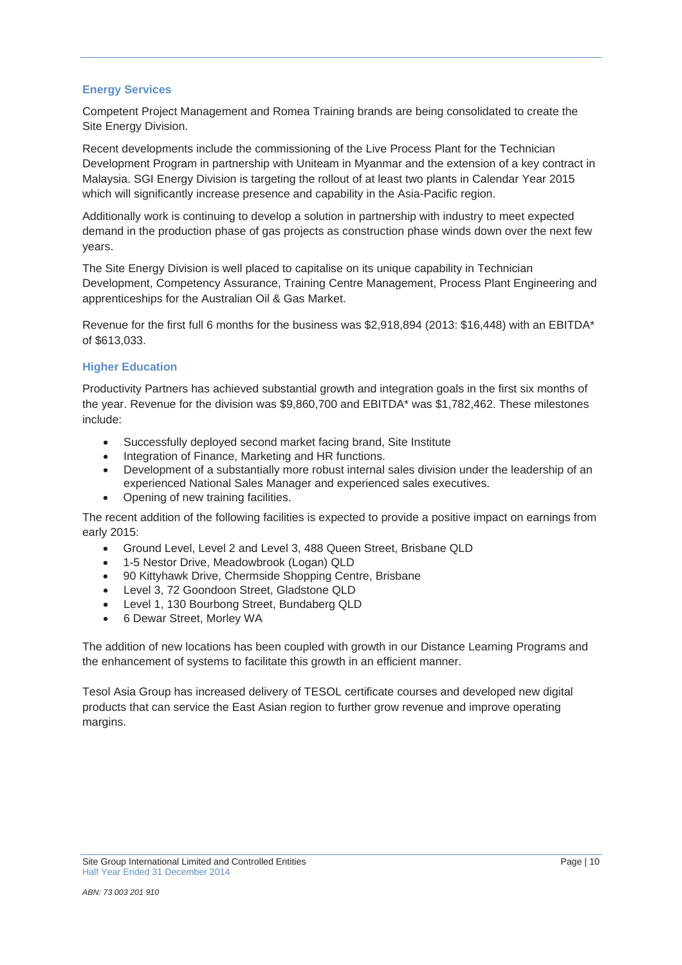## **Energy Services**

Competent Project Management and Romea Training brands are being consolidated to create the Site Energy Division.

Recent developments include the commissioning of the Live Process Plant for the Technician Development Program in partnership with Uniteam in Myanmar and the extension of a key contract in Malaysia. SGI Energy Division is targeting the rollout of at least two plants in Calendar Year 2015 which will significantly increase presence and capability in the Asia-Pacific region.

Additionally work is continuing to develop a solution in partnership with industry to meet expected demand in the production phase of gas projects as construction phase winds down over the next few years.

The Site Energy Division is well placed to capitalise on its unique capability in Technician Development, Competency Assurance, Training Centre Management, Process Plant Engineering and apprenticeships for the Australian Oil & Gas Market.

Revenue for the first full 6 months for the business was \$2,918,894 (2013: \$16,448) with an EBITDA\* of \$613,033.

# **Higher Education**

Productivity Partners has achieved substantial growth and integration goals in the first six months of the year. Revenue for the division was \$9,860,700 and EBITDA\* was \$1,782,462. These milestones include:

- Successfully deployed second market facing brand, Site Institute
- Integration of Finance, Marketing and HR functions.
- Development of a substantially more robust internal sales division under the leadership of an experienced National Sales Manager and experienced sales executives.
- Opening of new training facilities.

The recent addition of the following facilities is expected to provide a positive impact on earnings from early 2015:

- Ground Level, Level 2 and Level 3, 488 Queen Street, Brisbane QLD
- 1-5 Nestor Drive, Meadowbrook (Logan) QLD
- 90 Kittyhawk Drive, Chermside Shopping Centre, Brisbane
- Level 3, 72 Goondoon Street, Gladstone QLD
- Level 1, 130 Bourbong Street, Bundaberg QLD
- 6 Dewar Street, Morley WA

The addition of new locations has been coupled with growth in our Distance Learning Programs and the enhancement of systems to facilitate this growth in an efficient manner.

Tesol Asia Group has increased delivery of TESOL certificate courses and developed new digital products that can service the East Asian region to further grow revenue and improve operating margins.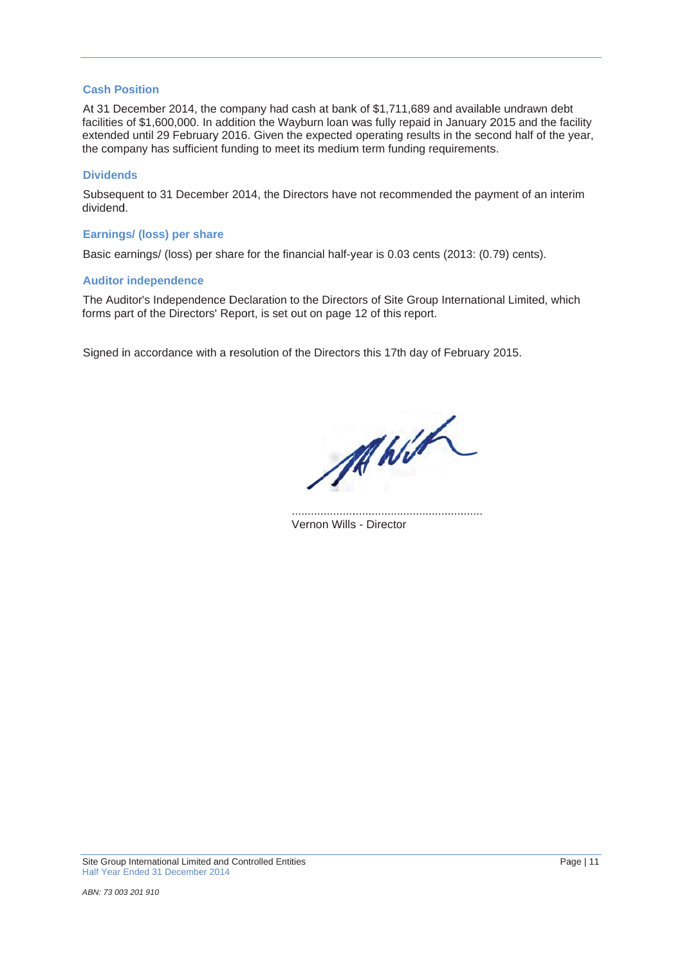#### **Cash Position**

At 31 December 2014, the company had cash at bank of \$1,711,689 and available undrawn debt facilities of \$1,600,000. In addition the Wayburn loan was fully repaid in January 2015 and the facility extended until 29 February 2016. Given the expected operating results in the second half of the year, the company has sufficient funding to meet its medium term funding requirements.

#### **Dividends**

Subsequent to 31 December 2014, the Directors have not recommended the payment of an interim dividend.

#### **Earnings/ (loss) per share**

Basic earnings/ (loss) per share for the financial half-year is 0.03 cents (2013: (0.79) cents).

#### **Auditor independence**

The Auditor's Independence Declaration to the Directors of Site Group International Limited, which forms part of the Directors' Report, is set out on page 12 of this report.

Signed in accordance with a resolution of the Directors this 17th day of February 2015.

MANIA

Vernon Wills - Director ..... ..... ..... ..... ...... ..... ..... ..... ..... ..... ...... ..... ..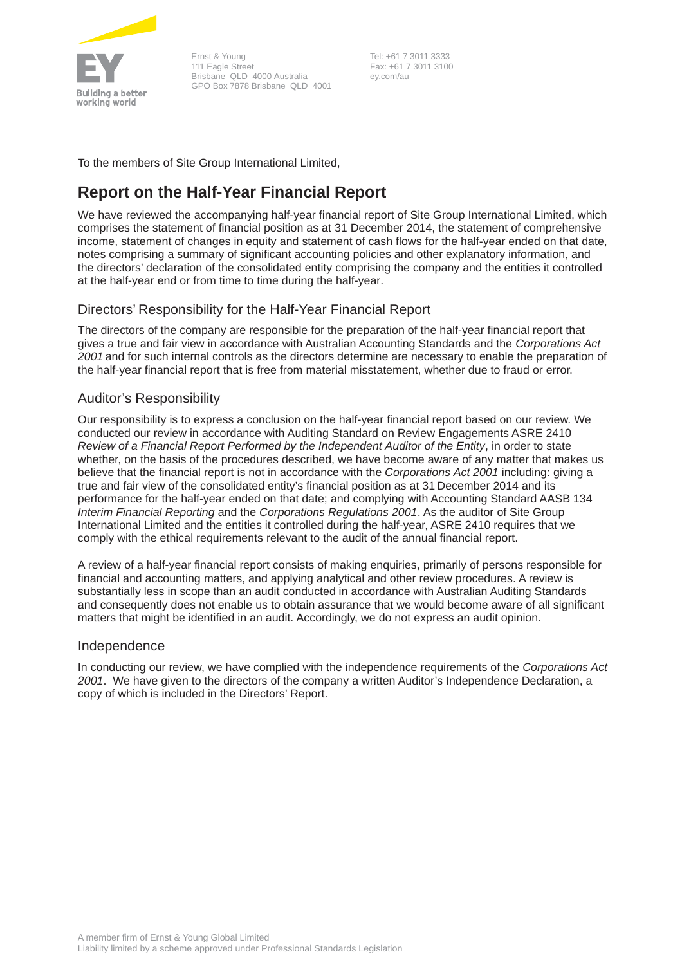

Ernst & Young 111 Eagle Street Brisbane QLD 4000 Australia GPO Box 7878 Brisbane QLD 4001

 Tel: +61 7 3011 3333 Fax: +61 7 3011 3100 ey.com/au

To the members of Site Group International Limited,

# **Report on the Half-Year Financial Report**

We have reviewed the accompanying half-year financial report of Site Group International Limited, which comprises the statement of financial position as at 31 December 2014, the statement of comprehensive income, statement of changes in equity and statement of cash flows for the half-year ended on that date, notes comprising a summary of significant accounting policies and other explanatory information, and the directors' declaration of the consolidated entity comprising the company and the entities it controlled at the half-year end or from time to time during the half-year.

# Directors' Responsibility for the Half-Year Financial Report

The directors of the company are responsible for the preparation of the half-year financial report that gives a true and fair view in accordance with Australian Accounting Standards and the *Corporations Act 2001* and for such internal controls as the directors determine are necessary to enable the preparation of the half-year financial report that is free from material misstatement, whether due to fraud or error.

# Auditor's Responsibility

Our responsibility is to express a conclusion on the half-year financial report based on our review. We conducted our review in accordance with Auditing Standard on Review Engagements ASRE 2410 *Review of a Financial Report Performed by the Independent Auditor of the Entity*, in order to state whether, on the basis of the procedures described, we have become aware of any matter that makes us believe that the financial report is not in accordance with the *Corporations Act 2001* including: giving a true and fair view of the consolidated entity's financial position as at 31 December 2014 and its performance for the half-year ended on that date; and complying with Accounting Standard AASB 134 *Interim Financial Reporting* and the *Corporations Regulations 2001*. As the auditor of Site Group International Limited and the entities it controlled during the half-year, ASRE 2410 requires that we comply with the ethical requirements relevant to the audit of the annual financial report.

A review of a half-year financial report consists of making enquiries, primarily of persons responsible for financial and accounting matters, and applying analytical and other review procedures. A review is substantially less in scope than an audit conducted in accordance with Australian Auditing Standards and consequently does not enable us to obtain assurance that we would become aware of all significant matters that might be identified in an audit. Accordingly, we do not express an audit opinion.

# Independence

In conducting our review, we have complied with the independence requirements of the *Corporations Act 2001*. We have given to the directors of the company a written Auditor's Independence Declaration, a copy of which is included in the Directors' Report.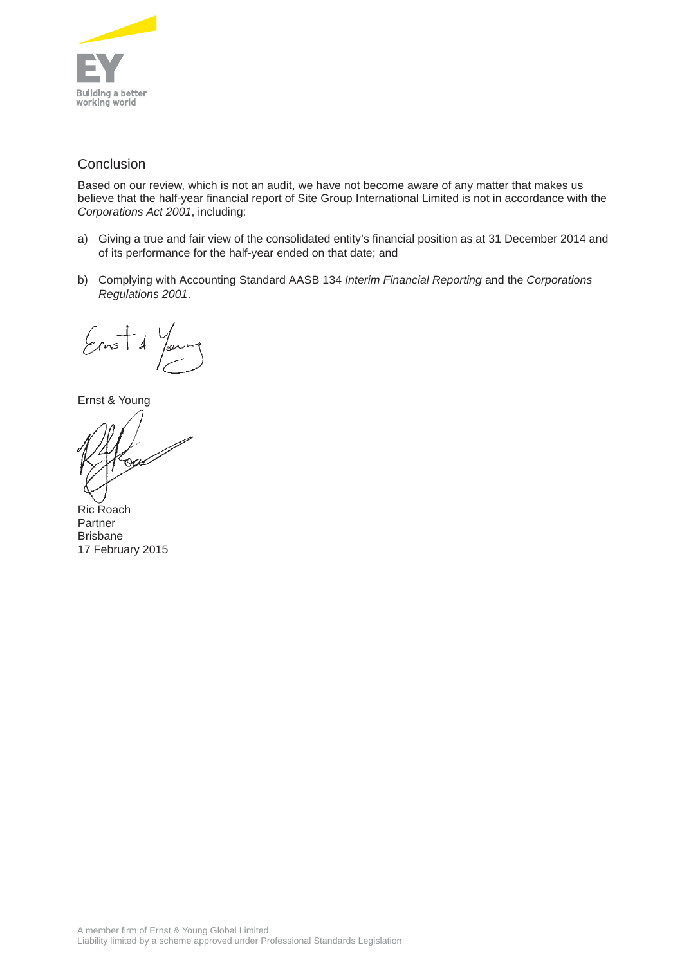

# **Conclusion**

Based on our review, which is not an audit, we have not become aware of any matter that makes us believe that the half-year financial report of Site Group International Limited is not in accordance with the *Corporations Act 2001*, including:

- a) Giving a true and fair view of the consolidated entity's financial position as at 31 December 2014 and of its performance for the half-year ended on that date; and
- b) Complying with Accounting Standard AASB 134 *Interim Financial Reporting* and the *Corporations Regulations 2001*.

 $\frac{1}{2}$  $\mathcal{A}$ 

Ernst & Young

Ric Roach Partner Brisbane 17 February 2015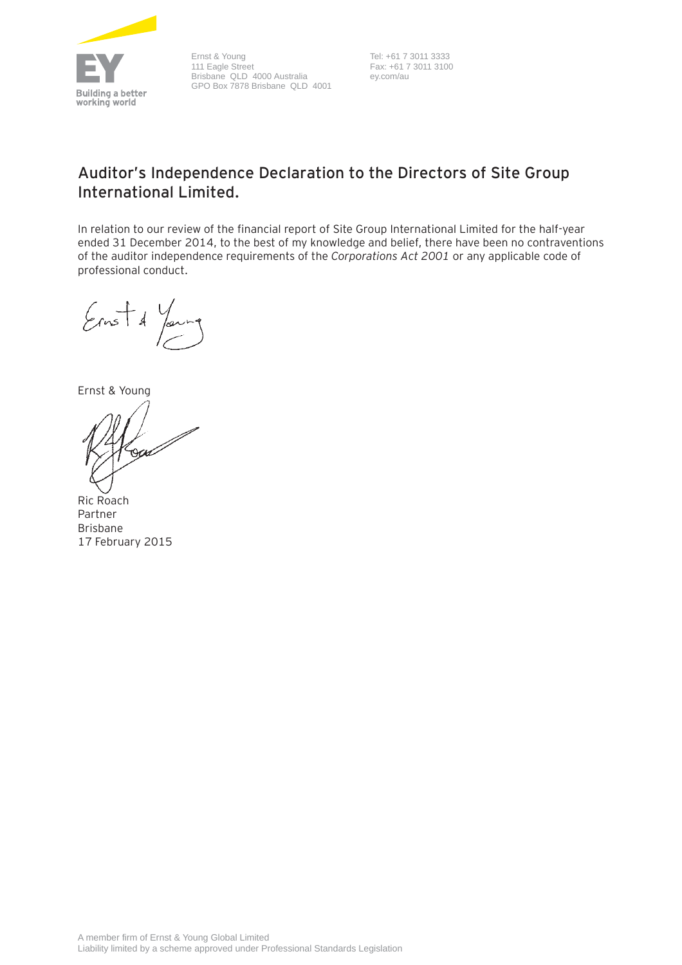

Ernst & Young 111 Eagle Street Brisbane QLD 4000 Australia GPO Box 7878 Brisbane QLD 4001

 Tel: +61 7 3011 3333 Fax: +61 7 3011 3100 ey.com/au

# **Auditor's Independence Declaration to the Directors of Site Group International Limited.**

In relation to our review of the financial report of Site Group International Limited for the half-year ended 31 December 2014, to the best of my knowledge and belief, there have been no contraventions of the auditor independence requirements of the *Corporations Act 2001* or any applicable code of professional conduct.

 $\frac{1}{2}$ 

Ernst & Young

Ric Roach Partner Brisbane 17 February 2015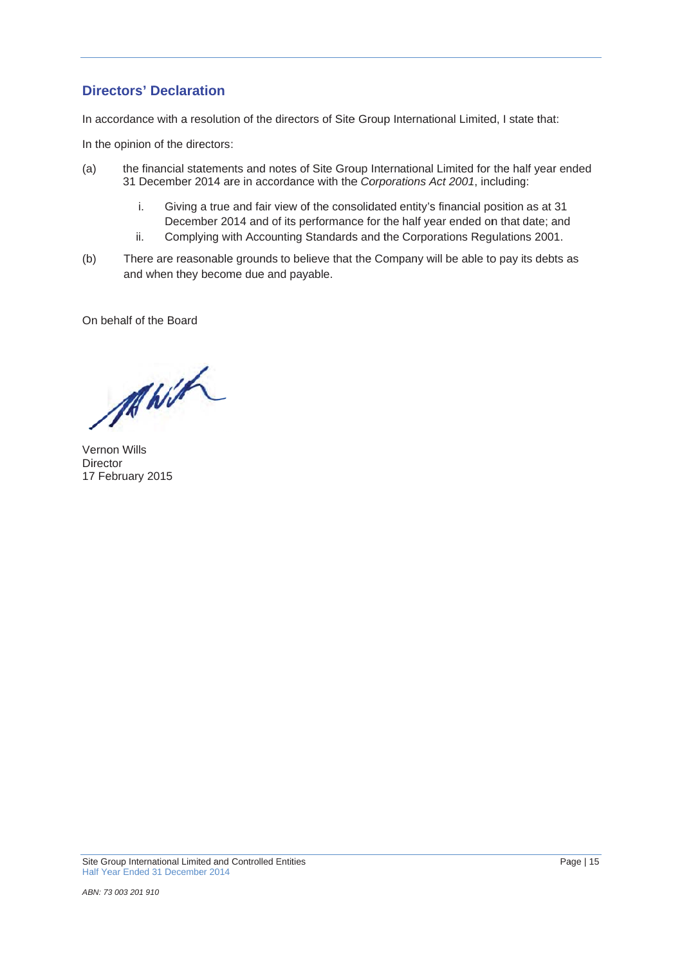# **Directors' Declaration**

In accordance with a resolution of the directors of Site Group International Limited, I state that:

In the opinion of the directors:

- (a ) the financial statements and notes of Site Group International Limited for the half year ended 31 December 2014 are in accordance with the Corporations Act 2001, including:
	- i. Giving a true and fair view of the consolidated entity's financial position as at 31 December 2014 and of its performance for the half year ended on that date; and
	- i i. Complying with Accounting Standards and the Corporations Regulations 2001.
- (b ) There are reasonable grounds to believe that the Company will be able to pay its debts as and when they become due and payable.

On behalf of the Board

MWH

Vernon Wills Director 17 February 2015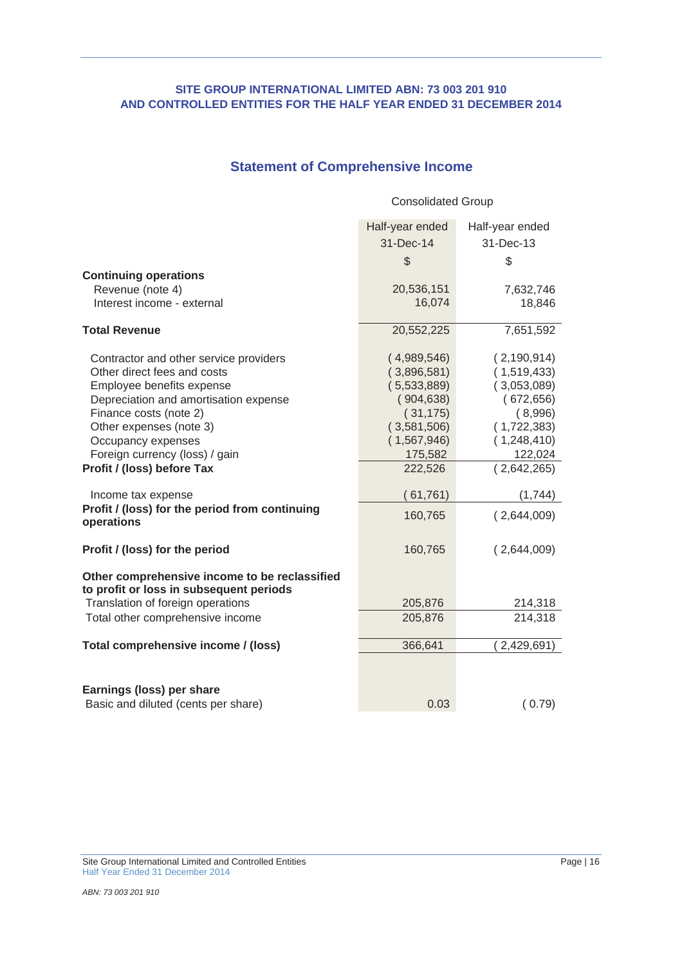# **Statement of Comprehensive Income**

|                                                                                          | <b>Consolidated Group</b> |                        |
|------------------------------------------------------------------------------------------|---------------------------|------------------------|
|                                                                                          | Half-year ended           | Half-year ended        |
|                                                                                          | 31-Dec-14                 | 31-Dec-13              |
|                                                                                          | $\mathcal{L}$             | \$                     |
| <b>Continuing operations</b>                                                             |                           |                        |
| Revenue (note 4)                                                                         | 20,536,151                | 7,632,746              |
| Interest income - external                                                               | 16,074                    | 18,846                 |
| <b>Total Revenue</b>                                                                     | 20,552,225                | 7,651,592              |
| Contractor and other service providers                                                   | (4,989,546)               | (2, 190, 914)          |
| Other direct fees and costs                                                              | (3,896,581)               | (1,519,433)            |
| Employee benefits expense                                                                | (5,533,889)               | (3,053,089)            |
| Depreciation and amortisation expense                                                    | (904, 638)                | (672, 656)             |
| Finance costs (note 2)<br>Other expenses (note 3)                                        | (31, 175)<br>(3,581,506)  | (8,996)<br>(1,722,383) |
| Occupancy expenses                                                                       | (1,567,946)               | (1,248,410)            |
| Foreign currency (loss) / gain                                                           | 175,582                   | 122,024                |
| Profit / (loss) before Tax                                                               | 222,526                   | (2,642,265)            |
| Income tax expense                                                                       | (61, 761)                 | (1,744)                |
| Profit / (loss) for the period from continuing<br>operations                             | 160,765                   | (2,644,009)            |
| Profit / (loss) for the period                                                           | 160,765                   | (2,644,009)            |
| Other comprehensive income to be reclassified<br>to profit or loss in subsequent periods |                           |                        |
| Translation of foreign operations                                                        | 205,876                   | 214,318                |
| Total other comprehensive income                                                         | 205,876                   | 214,318                |
| Total comprehensive income / (loss)                                                      | 366,641                   | 2,429,691)             |
|                                                                                          |                           |                        |
| Earnings (loss) per share                                                                |                           |                        |
| Basic and diluted (cents per share)                                                      | 0.03                      | (0.79)                 |

Site Group International Limited and Controlled Entities Page | 16 Half Year Ended 31 December 2014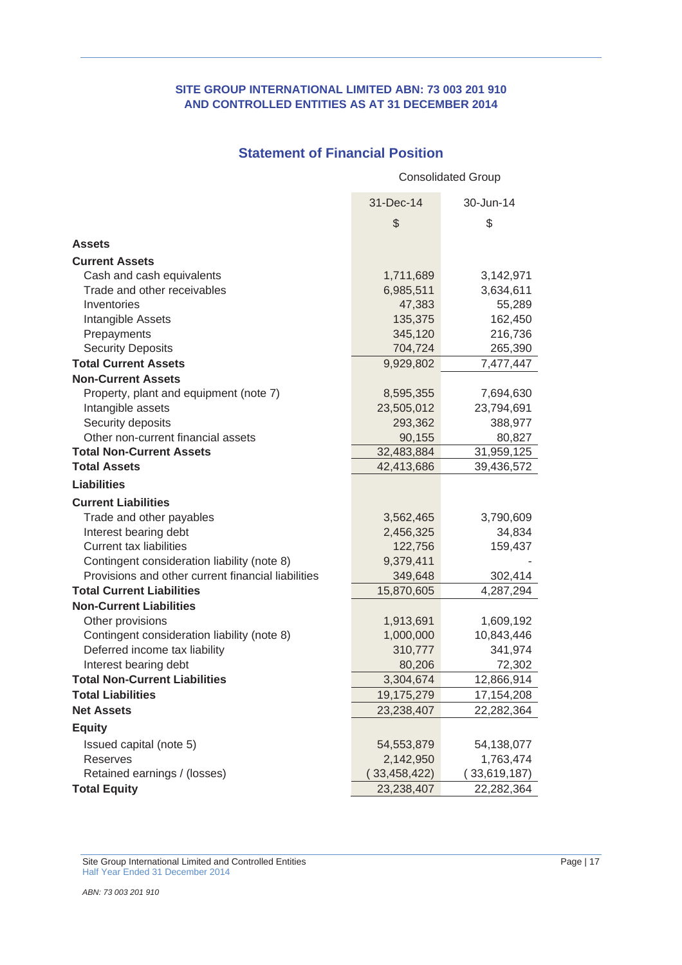## **SITE GROUP INTERNATIONAL LIMITED ABN: 73 003 201 910 AND CONTROLLED ENTITIES AS AT 31 DECEMBER 2014**

# **Statement of Financial Position**

31-Dec-14 30-Jun-14  $\begin{array}{ccc} \texttt{\$} & \texttt{\$} & \texttt{\$} \end{array}$ **Assets Current Assets** Cash and cash equivalents 1,711,689 3,142,971 Trade and other receivables 6,985,511 3,634,611 Inventories 65,289 Intangible Assets 135,375 162,450 Prepayments 345,120 216,736 Security Deposits **704,724** 265,390 **Total Current Assets** 9,929,802 7,477,447 **Non-Current Assets** Property, plant and equipment (note 7) 8,595,355 7,694,630 Intangible assets 23,505,012 23,794,691 Security deposits 293,362 388,977 Other non-current financial assets 80,827 **Total Non-Current Assets** 32,483,884 31,959,125 **Total Assets** 42,413,686 39,436,572 **Liabilities Current Liabilities** Trade and other payables 3,562,465 3,790,609 Interest bearing debt 2,456,325 34,834 Current tax liabilities 122,756 159,437 Contingent consideration liability (note 8) 9,379,411 Provisions and other current financial liabilities 349,648 302,414 **Total Current Liabilities** 15,870,605 4,287,294 **Non-Current Liabilities** Other provisions 1,913,691 1,609,192 Contingent consideration liability (note 8) 1,000,000 10,843,446 Deferred income tax liability 100 310,777 341,974 Interest bearing debt 80,206 72,302 **Total Non-Current Liabilities** 3,304,674 12,866,914 **Total Liabilities** 19,175,279 17,154,208 **Net Assets** 23,238,407 22,282,364 **Equity** Issued capital (note 5) 54,553,879 54,138,077 Reserves 2,142,950 1,763,474 Retained earnings / (losses) (33,458,422) (33,619,187) **Total Equity** 23,238,407 22,282,364 Consolidated Group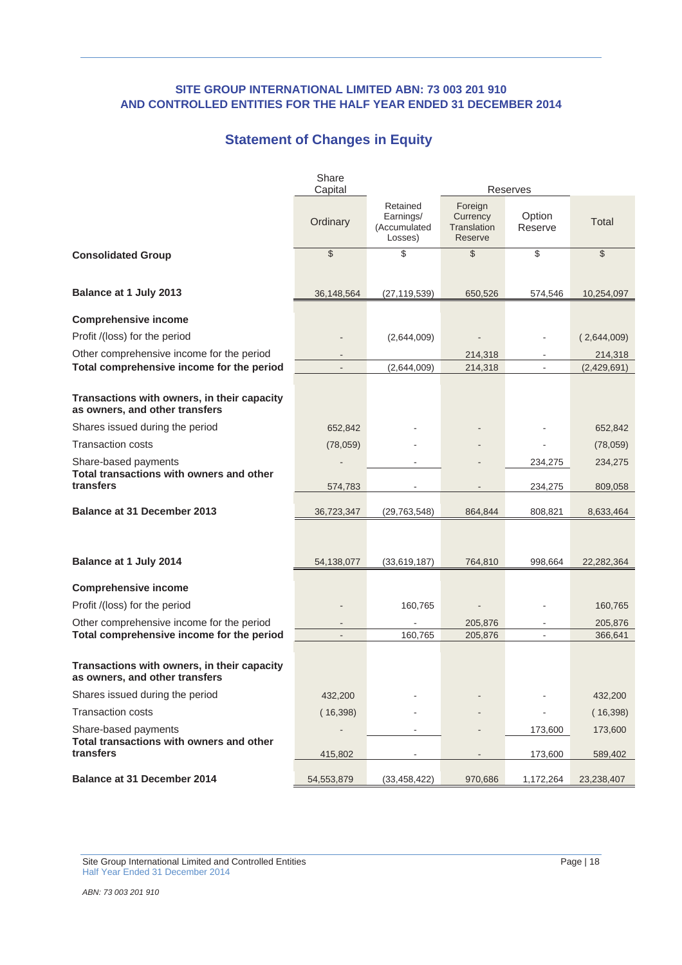# **Statement of Changes in Equity**

|                                                                               | Share<br>Capital |                                                  |                                               | <b>Reserves</b>    |                    |
|-------------------------------------------------------------------------------|------------------|--------------------------------------------------|-----------------------------------------------|--------------------|--------------------|
|                                                                               | Ordinary         | Retained<br>Earnings/<br>(Accumulated<br>Losses) | Foreign<br>Currency<br>Translation<br>Reserve | Option<br>Reserve  | Total              |
| <b>Consolidated Group</b>                                                     | $\$\$            | \$                                               | \$                                            | \$                 | $\mathcal{S}$      |
| <b>Balance at 1 July 2013</b>                                                 | 36,148,564       | (27, 119, 539)                                   | 650,526                                       | 574,546            | 10,254,097         |
| <b>Comprehensive income</b>                                                   |                  |                                                  |                                               |                    |                    |
| Profit /(loss) for the period                                                 |                  | (2,644,009)                                      |                                               |                    | (2,644,009)        |
| Other comprehensive income for the period                                     |                  |                                                  | 214,318                                       |                    | 214,318            |
| Total comprehensive income for the period                                     |                  | (2,644,009)                                      | 214,318                                       |                    | (2,429,691)        |
| Transactions with owners, in their capacity<br>as owners, and other transfers |                  |                                                  |                                               |                    |                    |
| Shares issued during the period                                               | 652,842          |                                                  |                                               |                    | 652,842            |
| <b>Transaction costs</b>                                                      | (78,059)         |                                                  |                                               |                    | (78,059)           |
| Share-based payments<br>Total transactions with owners and other<br>transfers | 574,783          |                                                  |                                               | 234,275<br>234,275 | 234,275<br>809,058 |
| <b>Balance at 31 December 2013</b>                                            | 36,723,347       | (29, 763, 548)                                   | 864,844                                       | 808,821            | 8,633,464          |
|                                                                               |                  |                                                  |                                               |                    |                    |
| Balance at 1 July 2014                                                        | 54,138,077       | (33,619,187)                                     | 764,810                                       | 998,664            | 22,282,364         |
| <b>Comprehensive income</b>                                                   |                  |                                                  |                                               |                    |                    |
| Profit /(loss) for the period                                                 |                  | 160,765                                          |                                               |                    | 160,765            |
| Other comprehensive income for the period                                     |                  |                                                  | 205,876                                       |                    | 205,876            |
| Total comprehensive income for the period                                     |                  | 160.765                                          | 205,876                                       |                    | 366,641            |
| Transactions with owners, in their capacity<br>as owners, and other transfers |                  |                                                  |                                               |                    |                    |
| Shares issued during the period                                               | 432,200          |                                                  |                                               |                    | 432,200            |
| <b>Transaction costs</b>                                                      | (16, 398)        |                                                  |                                               |                    | (16, 398)          |
| Share-based payments                                                          | $\overline{a}$   |                                                  |                                               | 173,600            | 173,600            |
| Total transactions with owners and other<br>transfers                         | 415,802          |                                                  |                                               | 173,600            | 589,402            |
| Balance at 31 December 2014                                                   | 54, 553, 879     | (33, 458, 422)                                   | 970,686                                       | 1,172,264          | 23,238,407         |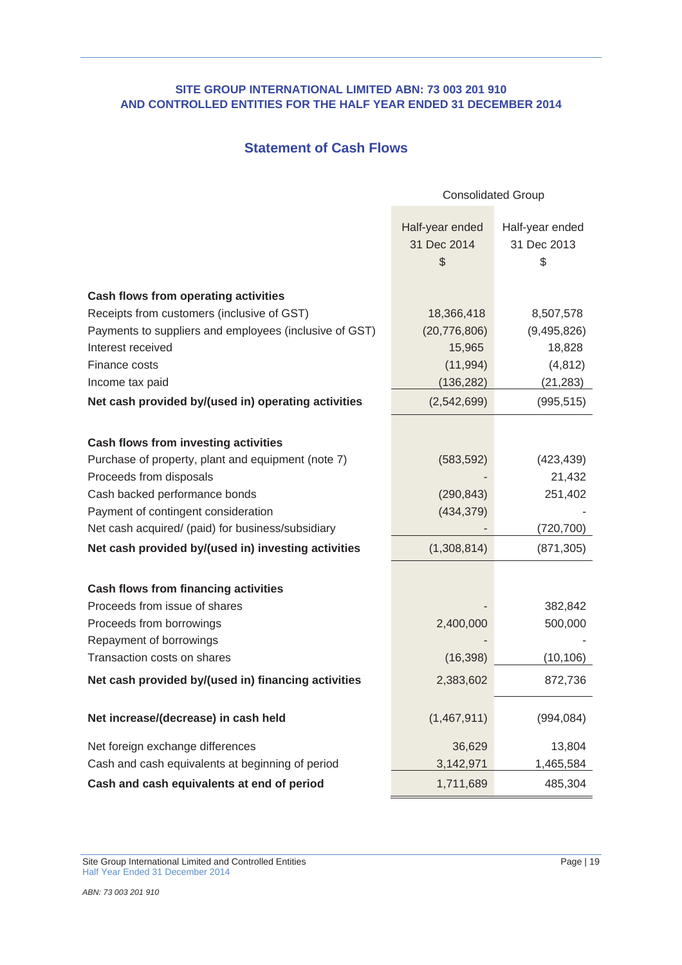# **Statement of Cash Flows**

|                                                        | <b>Consolidated Group</b>                                   |                                      |  |
|--------------------------------------------------------|-------------------------------------------------------------|--------------------------------------|--|
|                                                        | Half-year ended<br>31 Dec 2014<br>$\boldsymbol{\mathsf{S}}$ | Half-year ended<br>31 Dec 2013<br>\$ |  |
| <b>Cash flows from operating activities</b>            |                                                             |                                      |  |
| Receipts from customers (inclusive of GST)             | 18,366,418                                                  | 8,507,578                            |  |
| Payments to suppliers and employees (inclusive of GST) | (20, 776, 806)                                              | (9,495,826)                          |  |
| Interest received                                      | 15,965                                                      | 18,828                               |  |
| Finance costs                                          | (11, 994)                                                   | (4, 812)                             |  |
| Income tax paid                                        | (136, 282)                                                  | (21, 283)                            |  |
| Net cash provided by/(used in) operating activities    | (2,542,699)                                                 | (995, 515)                           |  |
|                                                        |                                                             |                                      |  |
| <b>Cash flows from investing activities</b>            |                                                             |                                      |  |
| Purchase of property, plant and equipment (note 7)     | (583, 592)                                                  | (423, 439)                           |  |
| Proceeds from disposals                                |                                                             | 21,432                               |  |
| Cash backed performance bonds                          | (290, 843)                                                  | 251,402                              |  |
| Payment of contingent consideration                    | (434, 379)                                                  |                                      |  |
| Net cash acquired/ (paid) for business/subsidiary      |                                                             | (720, 700)                           |  |
| Net cash provided by/(used in) investing activities    | (1,308,814)                                                 | (871, 305)                           |  |
| <b>Cash flows from financing activities</b>            |                                                             |                                      |  |
| Proceeds from issue of shares                          |                                                             | 382,842                              |  |
| Proceeds from borrowings                               | 2,400,000                                                   | 500,000                              |  |
| Repayment of borrowings                                |                                                             |                                      |  |
| Transaction costs on shares                            | (16, 398)                                                   | (10, 106)                            |  |
| Net cash provided by/(used in) financing activities    | 2,383,602                                                   | 872,736                              |  |
| Net increase/(decrease) in cash held                   | (1,467,911)                                                 | (994, 084)                           |  |
| Net foreign exchange differences                       | 36,629                                                      | 13,804                               |  |
| Cash and cash equivalents at beginning of period       | 3,142,971                                                   | 1,465,584                            |  |
| Cash and cash equivalents at end of period             | 1,711,689                                                   | 485,304                              |  |

Site Group International Limited and Controlled Entities Page | 19 Half Year Ended 31 December 2014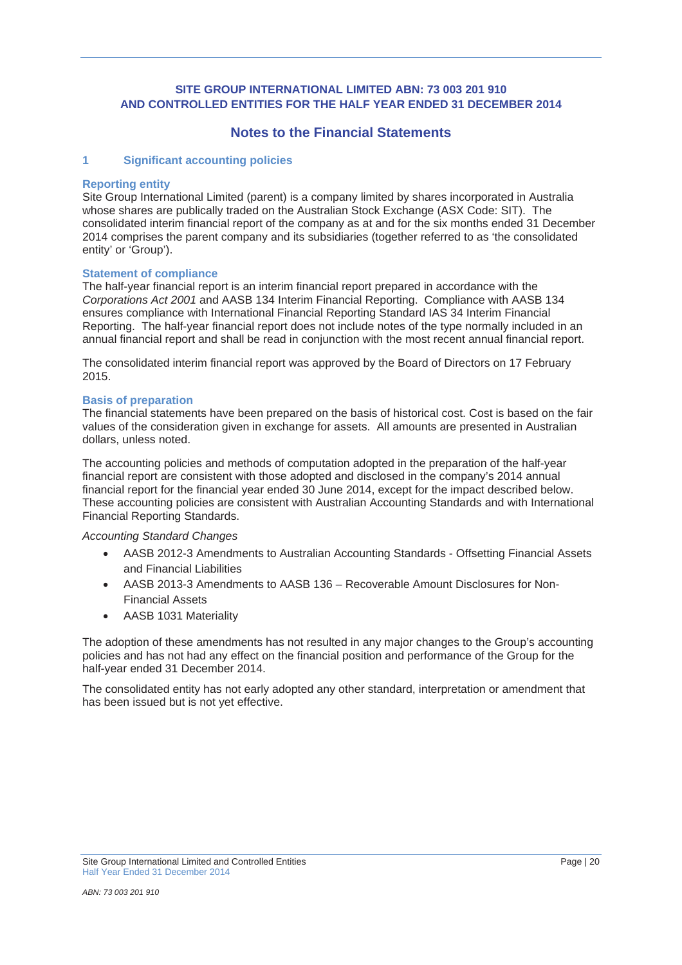# **Notes to the Financial Statements**

## **1 Significant accounting policies**

#### **Reporting entity**

Site Group International Limited (parent) is a company limited by shares incorporated in Australia whose shares are publically traded on the Australian Stock Exchange (ASX Code: SIT). The consolidated interim financial report of the company as at and for the six months ended 31 December 2014 comprises the parent company and its subsidiaries (together referred to as 'the consolidated entity' or 'Group').

#### **Statement of compliance**

The half-year financial report is an interim financial report prepared in accordance with the *Corporations Act 2001* and AASB 134 Interim Financial Reporting. Compliance with AASB 134 ensures compliance with International Financial Reporting Standard IAS 34 Interim Financial Reporting. The half-year financial report does not include notes of the type normally included in an annual financial report and shall be read in conjunction with the most recent annual financial report.

The consolidated interim financial report was approved by the Board of Directors on 17 February 2015.

#### **Basis of preparation**

The financial statements have been prepared on the basis of historical cost. Cost is based on the fair values of the consideration given in exchange for assets. All amounts are presented in Australian dollars, unless noted.

The accounting policies and methods of computation adopted in the preparation of the half-year financial report are consistent with those adopted and disclosed in the company's 2014 annual financial report for the financial year ended 30 June 2014, except for the impact described below. These accounting policies are consistent with Australian Accounting Standards and with International Financial Reporting Standards.

#### *Accounting Standard Changes*

- AASB 2012-3 Amendments to Australian Accounting Standards Offsetting Financial Assets and Financial Liabilities
- AASB 2013-3 Amendments to AASB 136 Recoverable Amount Disclosures for Non-Financial Assets
- AASB 1031 Materiality

The adoption of these amendments has not resulted in any major changes to the Group's accounting policies and has not had any effect on the financial position and performance of the Group for the half-year ended 31 December 2014.

The consolidated entity has not early adopted any other standard, interpretation or amendment that has been issued but is not yet effective.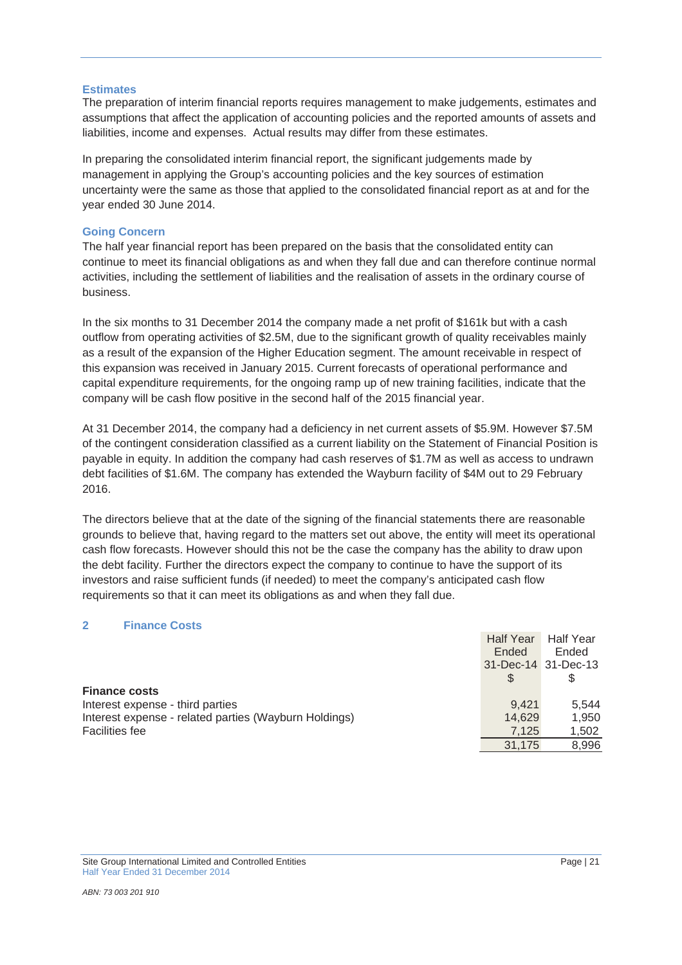#### **Estimates**

The preparation of interim financial reports requires management to make judgements, estimates and assumptions that affect the application of accounting policies and the reported amounts of assets and liabilities, income and expenses. Actual results may differ from these estimates.

In preparing the consolidated interim financial report, the significant judgements made by management in applying the Group's accounting policies and the key sources of estimation uncertainty were the same as those that applied to the consolidated financial report as at and for the year ended 30 June 2014.

#### **Going Concern**

The half year financial report has been prepared on the basis that the consolidated entity can continue to meet its financial obligations as and when they fall due and can therefore continue normal activities, including the settlement of liabilities and the realisation of assets in the ordinary course of business.

In the six months to 31 December 2014 the company made a net profit of \$161k but with a cash outflow from operating activities of \$2.5M, due to the significant growth of quality receivables mainly as a result of the expansion of the Higher Education segment. The amount receivable in respect of this expansion was received in January 2015. Current forecasts of operational performance and capital expenditure requirements, for the ongoing ramp up of new training facilities, indicate that the company will be cash flow positive in the second half of the 2015 financial year.

At 31 December 2014, the company had a deficiency in net current assets of \$5.9M. However \$7.5M of the contingent consideration classified as a current liability on the Statement of Financial Position is payable in equity. In addition the company had cash reserves of \$1.7M as well as access to undrawn debt facilities of \$1.6M. The company has extended the Wayburn facility of \$4M out to 29 February 2016.

The directors believe that at the date of the signing of the financial statements there are reasonable grounds to believe that, having regard to the matters set out above, the entity will meet its operational cash flow forecasts. However should this not be the case the company has the ability to draw upon the debt facility. Further the directors expect the company to continue to have the support of its investors and raise sufficient funds (if needed) to meet the company's anticipated cash flow requirements so that it can meet its obligations as and when they fall due.

## **2 Finance Costs**

|                                                       | <b>Half Year</b><br>Ended | <b>Half Year</b><br>Ended |
|-------------------------------------------------------|---------------------------|---------------------------|
|                                                       |                           | 31-Dec-14 31-Dec-13       |
|                                                       | \$.                       |                           |
| <b>Finance costs</b>                                  |                           |                           |
| Interest expense - third parties                      | 9.421                     | 5.544                     |
| Interest expense - related parties (Wayburn Holdings) | 14,629                    | 1.950                     |
| <b>Facilities fee</b>                                 | 7,125                     | 1,502                     |
|                                                       | 31.175                    | 8,996                     |
|                                                       |                           |                           |

Site Group International Limited and Controlled Entities **Page 121** Page 121 Half Year Ended 31 December 2014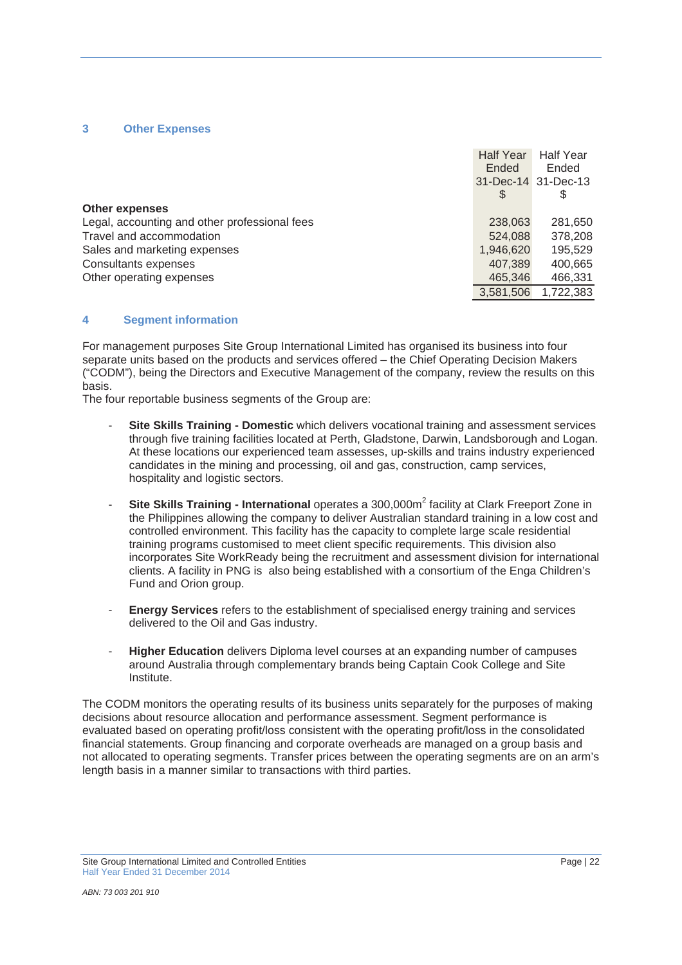#### **3 Other Expenses**

|                                               | <b>Half Year</b> | <b>Half Year</b>    |
|-----------------------------------------------|------------------|---------------------|
|                                               | Ended            | Ended               |
|                                               |                  | 31-Dec-14 31-Dec-13 |
|                                               |                  | \$                  |
| <b>Other expenses</b>                         |                  |                     |
| Legal, accounting and other professional fees | 238,063          | 281,650             |
| Travel and accommodation                      | 524,088          | 378,208             |
| Sales and marketing expenses                  | 1,946,620        | 195,529             |
| Consultants expenses                          | 407,389          | 400,665             |
| Other operating expenses                      | 465,346          | 466,331             |
|                                               | 3.581.506        | 1,722,383           |

#### **4 Segment information**

For management purposes Site Group International Limited has organised its business into four separate units based on the products and services offered – the Chief Operating Decision Makers ("CODM"), being the Directors and Executive Management of the company, review the results on this basis.

The four reportable business segments of the Group are:

- **Site Skills Training Domestic** which delivers vocational training and assessment services through five training facilities located at Perth, Gladstone, Darwin, Landsborough and Logan. At these locations our experienced team assesses, up-skills and trains industry experienced candidates in the mining and processing, oil and gas, construction, camp services, hospitality and logistic sectors.
- **Site Skills Training International** operates a 300,000m<sup>2</sup> facility at Clark Freeport Zone in the Philippines allowing the company to deliver Australian standard training in a low cost and controlled environment. This facility has the capacity to complete large scale residential training programs customised to meet client specific requirements. This division also incorporates Site WorkReady being the recruitment and assessment division for international clients. A facility in PNG is also being established with a consortium of the Enga Children's Fund and Orion group.
- **Energy Services** refers to the establishment of specialised energy training and services delivered to the Oil and Gas industry.
- **Higher Education** delivers Diploma level courses at an expanding number of campuses around Australia through complementary brands being Captain Cook College and Site Institute.

The CODM monitors the operating results of its business units separately for the purposes of making decisions about resource allocation and performance assessment. Segment performance is evaluated based on operating profit/loss consistent with the operating profit/loss in the consolidated financial statements. Group financing and corporate overheads are managed on a group basis and not allocated to operating segments. Transfer prices between the operating segments are on an arm's length basis in a manner similar to transactions with third parties.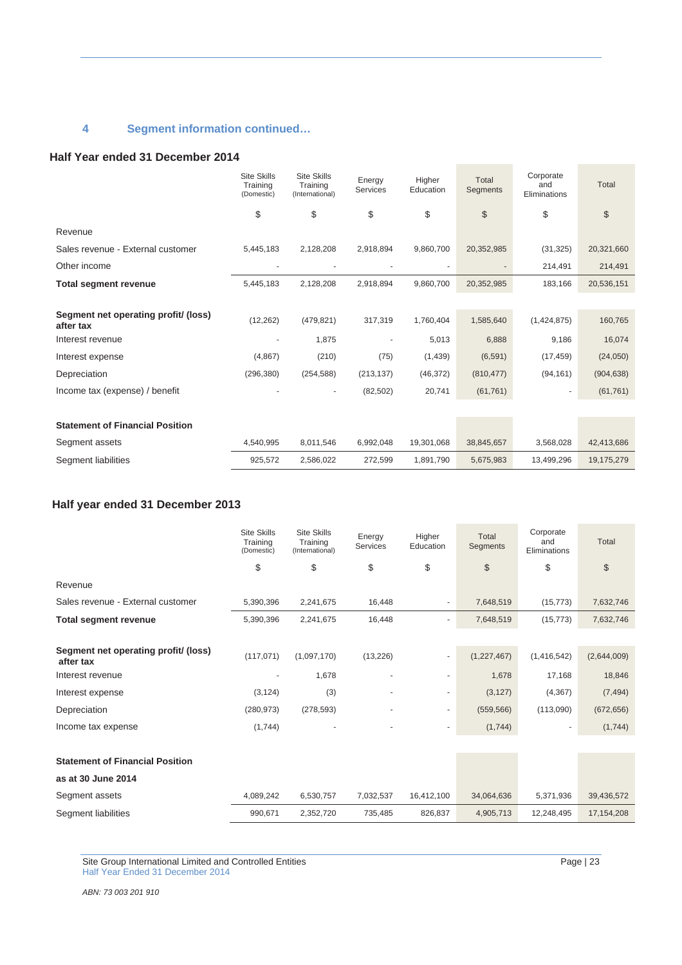# **4 Segment information continued…**

#### **Half Year ended 31 December 2014**

|                                                   | <b>Site Skills</b><br>Training<br>(Domestic) | <b>Site Skills</b><br>Training<br>(International) | Energy<br><b>Services</b> | Higher<br>Education | Total<br>Segments     | Corporate<br>and<br>Eliminations | Total          |
|---------------------------------------------------|----------------------------------------------|---------------------------------------------------|---------------------------|---------------------|-----------------------|----------------------------------|----------------|
|                                                   | \$                                           | \$                                                | \$                        | \$                  | $\boldsymbol{\theta}$ | \$                               | $$\mathbb{S}$$ |
| Revenue                                           |                                              |                                                   |                           |                     |                       |                                  |                |
| Sales revenue - External customer                 | 5,445,183                                    | 2,128,208                                         | 2,918,894                 | 9,860,700           | 20,352,985            | (31, 325)                        | 20,321,660     |
| Other income                                      |                                              |                                                   |                           |                     |                       | 214,491                          | 214,491        |
| <b>Total segment revenue</b>                      | 5.445.183                                    | 2,128,208                                         | 2.918.894                 | 9.860.700           | 20,352,985            | 183,166                          | 20,536,151     |
|                                                   |                                              |                                                   |                           |                     |                       |                                  |                |
| Segment net operating profit/ (loss)<br>after tax | (12, 262)                                    | (479, 821)                                        | 317,319                   | 1,760,404           | 1,585,640             | (1,424,875)                      | 160,765        |
| Interest revenue                                  |                                              | 1,875                                             |                           | 5,013               | 6,888                 | 9,186                            | 16,074         |
| Interest expense                                  | (4,867)                                      | (210)                                             | (75)                      | (1,439)             | (6, 591)              | (17, 459)                        | (24,050)       |
| Depreciation                                      | (296, 380)                                   | (254, 588)                                        | (213, 137)                | (46, 372)           | (810, 477)            | (94, 161)                        | (904, 638)     |
| Income tax (expense) / benefit                    |                                              | $\overline{\phantom{m}}$                          | (82, 502)                 | 20,741              | (61, 761)             | $\overline{\phantom{a}}$         | (61, 761)      |
|                                                   |                                              |                                                   |                           |                     |                       |                                  |                |
| <b>Statement of Financial Position</b>            |                                              |                                                   |                           |                     |                       |                                  |                |
| Segment assets                                    | 4,540,995                                    | 8,011,546                                         | 6,992,048                 | 19,301,068          | 38,845,657            | 3,568,028                        | 42,413,686     |
| Segment liabilities                               | 925,572                                      | 2,586,022                                         | 272,599                   | 1,891,790           | 5,675,983             | 13,499,296                       | 19,175,279     |

# **Half year ended 31 December 2013**

|                                                   | <b>Site Skills</b><br>Training<br>(Domestic) | <b>Site Skills</b><br>Training<br>(International) | Energy<br><b>Services</b> | Higher<br>Education      | Total<br>Segments | Corporate<br>and<br>Eliminations | Total        |
|---------------------------------------------------|----------------------------------------------|---------------------------------------------------|---------------------------|--------------------------|-------------------|----------------------------------|--------------|
|                                                   | \$                                           | \$                                                | \$                        | \$                       | \$                | \$                               | \$           |
| Revenue                                           |                                              |                                                   |                           |                          |                   |                                  |              |
| Sales revenue - External customer                 | 5,390,396                                    | 2,241,675                                         | 16,448                    | ٠                        | 7,648,519         | (15, 773)                        | 7,632,746    |
| <b>Total segment revenue</b>                      | 5,390,396                                    | 2,241,675                                         | 16,448                    |                          | 7,648,519         | (15, 773)                        | 7,632,746    |
|                                                   |                                              |                                                   |                           |                          |                   |                                  |              |
| Segment net operating profit/ (loss)<br>after tax | (117, 071)                                   | (1,097,170)                                       | (13, 226)                 |                          | (1,227,467)       | (1,416,542)                      | (2,644,009)  |
| Interest revenue                                  |                                              | 1,678                                             |                           | ٠                        | 1,678             | 17,168                           | 18,846       |
| Interest expense                                  | (3, 124)                                     | (3)                                               |                           | ٠                        | (3, 127)          | (4, 367)                         | (7, 494)     |
| Depreciation                                      | (280, 973)                                   | (278, 593)                                        |                           | $\overline{\phantom{0}}$ | (559, 566)        | (113,090)                        | (672, 656)   |
| Income tax expense                                | (1,744)                                      |                                                   |                           |                          | (1,744)           |                                  | (1,744)      |
|                                                   |                                              |                                                   |                           |                          |                   |                                  |              |
| <b>Statement of Financial Position</b>            |                                              |                                                   |                           |                          |                   |                                  |              |
| as at 30 June 2014                                |                                              |                                                   |                           |                          |                   |                                  |              |
| Segment assets                                    | 4,089,242                                    | 6,530,757                                         | 7,032,537                 | 16,412,100               | 34,064,636        | 5,371,936                        | 39,436,572   |
| Segment liabilities                               | 990,671                                      | 2,352,720                                         | 735,485                   | 826,837                  | 4,905,713         | 12,248,495                       | 17, 154, 208 |

Site Group International Limited and Controlled Entities Page | 23 Half Year Ended 31 December 2014

*ABN: 73 003 201 910*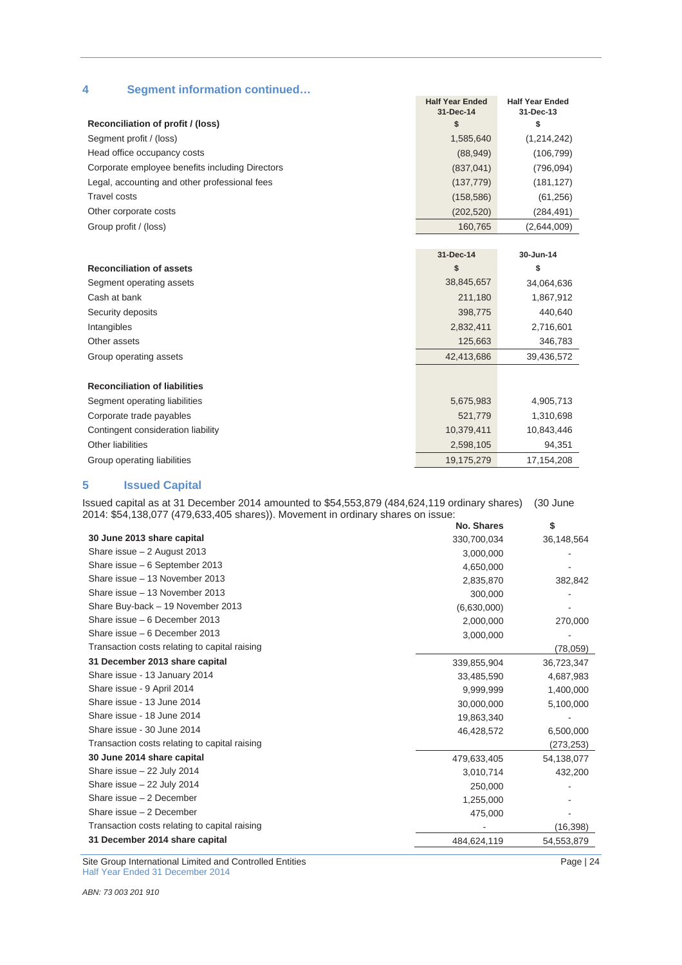|  |  |  | <b>Segment information continued</b> |
|--|--|--|--------------------------------------|
|--|--|--|--------------------------------------|

|                                                 | <b>Half Year Ended</b><br>31-Dec-14 | <b>Half Year Ended</b><br>31-Dec-13 |
|-------------------------------------------------|-------------------------------------|-------------------------------------|
| Reconciliation of profit / (loss)               | \$                                  | \$                                  |
| Segment profit / (loss)                         | 1,585,640                           | (1,214,242)                         |
| Head office occupancy costs                     | (88, 949)                           | (106, 799)                          |
| Corporate employee benefits including Directors | (837, 041)                          | (796,094)                           |
| Legal, accounting and other professional fees   | (137, 779)                          | (181, 127)                          |
| <b>Travel costs</b>                             | (158, 586)                          | (61, 256)                           |
| Other corporate costs                           | (202, 520)                          | (284, 491)                          |
| Group profit / (loss)                           | 160,765                             | (2,644,009)                         |
|                                                 |                                     |                                     |
|                                                 | 31-Dec-14                           | 30-Jun-14                           |
| <b>Reconciliation of assets</b>                 | \$                                  | \$                                  |
| Segment operating assets                        | 38,845,657                          | 34,064,636                          |
| Cash at bank                                    | 211,180                             | 1,867,912                           |
| Security deposits                               | 398,775                             | 440,640                             |
| Intangibles                                     | 2,832,411                           | 2,716,601                           |
| Other assets                                    | 125,663                             | 346,783                             |
| Group operating assets                          | 42,413,686                          | 39,436,572                          |
|                                                 |                                     |                                     |
| <b>Reconciliation of liabilities</b>            |                                     |                                     |
| Segment operating liabilities                   | 5,675,983                           | 4,905,713                           |
| Corporate trade payables                        | 521,779                             | 1,310,698                           |
| Contingent consideration liability              | 10,379,411                          | 10,843,446                          |
| Other liabilities                               | 2,598,105                           | 94,351                              |

#### **5 Issued Capital**

Issued capital as at 31 December 2014 amounted to \$54,553,879 (484,624,119 ordinary shares) (30 June 2014: \$54,138,077 (479,633,405 shares)). Movement in ordinary shares on issue:

Group operating liabilities 19,175,279 17,154,208

|                                               | No. Shares  | \$         |
|-----------------------------------------------|-------------|------------|
| 30 June 2013 share capital                    | 330,700,034 | 36,148,564 |
| Share issue $-2$ August 2013                  | 3,000,000   |            |
| Share issue - 6 September 2013                | 4,650,000   |            |
| Share issue - 13 November 2013                | 2,835,870   | 382,842    |
| Share issue - 13 November 2013                | 300,000     |            |
| Share Buy-back - 19 November 2013             | (6,630,000) |            |
| Share issue - 6 December 2013                 | 2,000,000   | 270,000    |
| Share issue - 6 December 2013                 | 3,000,000   |            |
| Transaction costs relating to capital raising |             | (78, 059)  |
| 31 December 2013 share capital                | 339.855.904 | 36,723,347 |
| Share issue - 13 January 2014                 | 33,485,590  | 4,687,983  |
| Share issue - 9 April 2014                    | 9,999,999   | 1,400,000  |
| Share issue - 13 June 2014                    | 30,000,000  | 5,100,000  |
| Share issue - 18 June 2014                    | 19,863,340  |            |
| Share issue - 30 June 2014                    | 46,428,572  | 6,500,000  |
| Transaction costs relating to capital raising |             | (273, 253) |
| 30 June 2014 share capital                    | 479,633,405 | 54,138,077 |
| Share issue - 22 July 2014                    | 3,010,714   | 432,200    |
| Share issue $-22$ July 2014                   | 250,000     |            |
| Share issue - 2 December                      | 1,255,000   |            |
| Share issue - 2 December                      | 475,000     |            |
| Transaction costs relating to capital raising |             | (16, 398)  |
| 31 December 2014 share capital                | 484,624,119 | 54,553,879 |
|                                               |             |            |

Site Group International Limited and Controlled Entities Page | 24 Half Year Ended 31 December 2014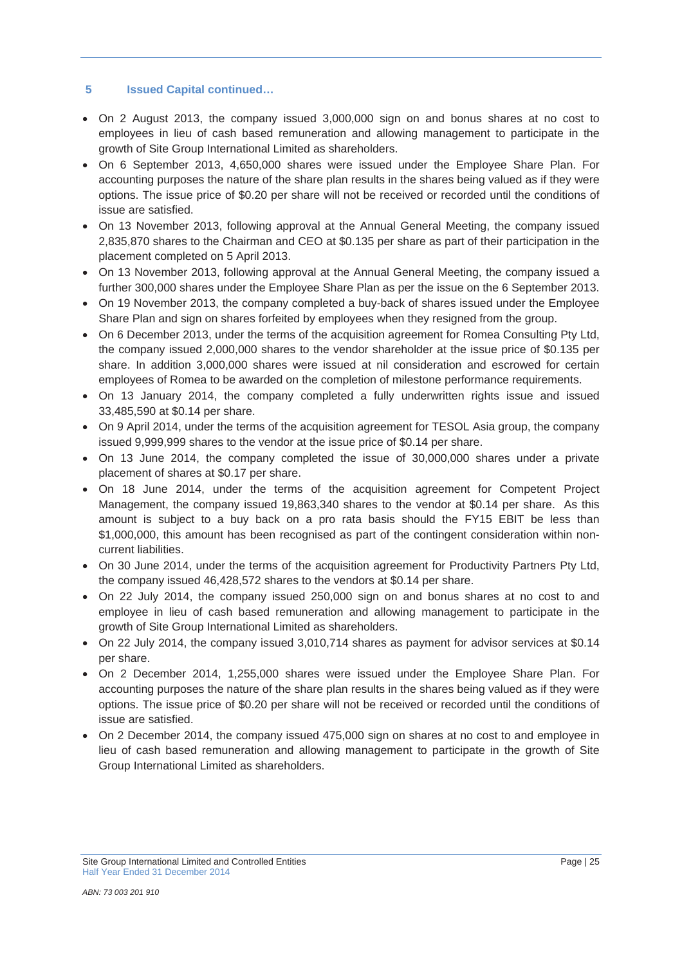# **5 Issued Capital continued…**

- On 2 August 2013, the company issued 3,000,000 sign on and bonus shares at no cost to employees in lieu of cash based remuneration and allowing management to participate in the growth of Site Group International Limited as shareholders.
- On 6 September 2013, 4,650,000 shares were issued under the Employee Share Plan. For accounting purposes the nature of the share plan results in the shares being valued as if they were options. The issue price of \$0.20 per share will not be received or recorded until the conditions of issue are satisfied.
- On 13 November 2013, following approval at the Annual General Meeting, the company issued 2,835,870 shares to the Chairman and CEO at \$0.135 per share as part of their participation in the placement completed on 5 April 2013.
- On 13 November 2013, following approval at the Annual General Meeting, the company issued a further 300,000 shares under the Employee Share Plan as per the issue on the 6 September 2013.
- On 19 November 2013, the company completed a buy-back of shares issued under the Employee Share Plan and sign on shares forfeited by employees when they resigned from the group.
- On 6 December 2013, under the terms of the acquisition agreement for Romea Consulting Pty Ltd, the company issued 2,000,000 shares to the vendor shareholder at the issue price of \$0.135 per share. In addition 3,000,000 shares were issued at nil consideration and escrowed for certain employees of Romea to be awarded on the completion of milestone performance requirements.
- On 13 January 2014, the company completed a fully underwritten rights issue and issued 33,485,590 at \$0.14 per share.
- On 9 April 2014, under the terms of the acquisition agreement for TESOL Asia group, the company issued 9,999,999 shares to the vendor at the issue price of \$0.14 per share.
- On 13 June 2014, the company completed the issue of 30,000,000 shares under a private placement of shares at \$0.17 per share.
- On 18 June 2014, under the terms of the acquisition agreement for Competent Project Management, the company issued 19,863,340 shares to the vendor at \$0.14 per share. As this amount is subject to a buy back on a pro rata basis should the FY15 EBIT be less than \$1,000,000, this amount has been recognised as part of the contingent consideration within noncurrent liabilities.
- On 30 June 2014, under the terms of the acquisition agreement for Productivity Partners Pty Ltd, the company issued 46,428,572 shares to the vendors at \$0.14 per share.
- On 22 July 2014, the company issued 250,000 sign on and bonus shares at no cost to and employee in lieu of cash based remuneration and allowing management to participate in the growth of Site Group International Limited as shareholders.
- On 22 July 2014, the company issued 3,010,714 shares as payment for advisor services at \$0.14 per share.
- On 2 December 2014, 1,255,000 shares were issued under the Employee Share Plan. For accounting purposes the nature of the share plan results in the shares being valued as if they were options. The issue price of \$0.20 per share will not be received or recorded until the conditions of issue are satisfied.
- On 2 December 2014, the company issued 475,000 sign on shares at no cost to and employee in lieu of cash based remuneration and allowing management to participate in the growth of Site Group International Limited as shareholders.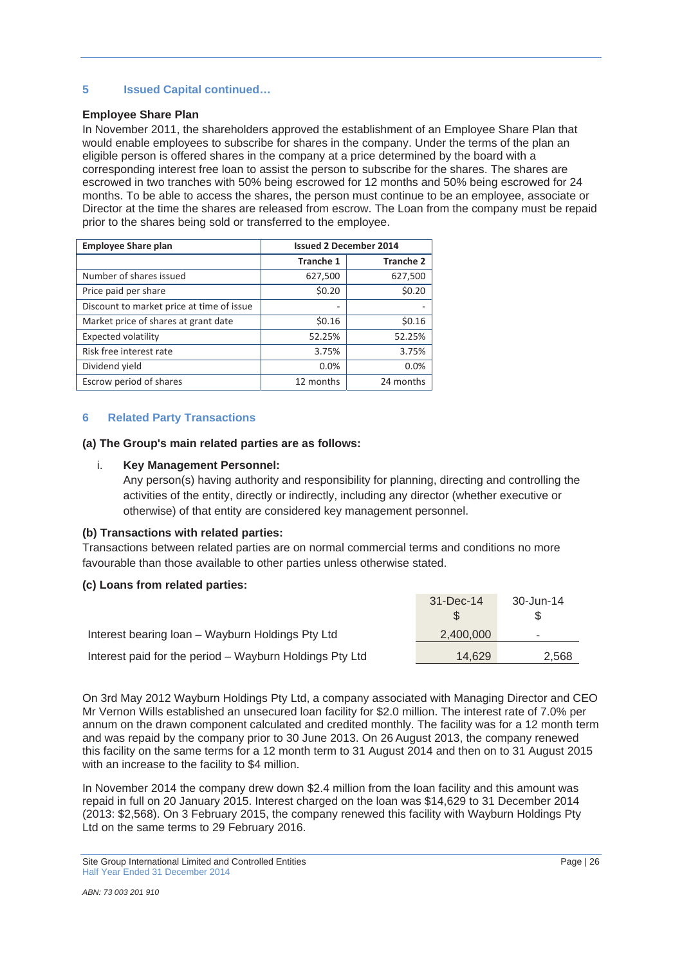# **5 Issued Capital continued…**

#### **Employee Share Plan**

In November 2011, the shareholders approved the establishment of an Employee Share Plan that would enable employees to subscribe for shares in the company. Under the terms of the plan an eligible person is offered shares in the company at a price determined by the board with a corresponding interest free loan to assist the person to subscribe for the shares. The shares are escrowed in two tranches with 50% being escrowed for 12 months and 50% being escrowed for 24 months. To be able to access the shares, the person must continue to be an employee, associate or Director at the time the shares are released from escrow. The Loan from the company must be repaid prior to the shares being sold or transferred to the employee.

| <b>Employee Share plan</b>                | <b>Issued 2 December 2014</b> |                  |  |
|-------------------------------------------|-------------------------------|------------------|--|
|                                           | <b>Tranche 1</b>              | <b>Tranche 2</b> |  |
| Number of shares issued                   | 627,500                       | 627,500          |  |
| Price paid per share                      | \$0.20                        | \$0.20           |  |
| Discount to market price at time of issue | -                             |                  |  |
| Market price of shares at grant date      | \$0.16                        | \$0.16           |  |
| <b>Expected volatility</b>                | 52.25%                        | 52.25%           |  |
| Risk free interest rate                   | 3.75%                         | 3.75%            |  |
| Dividend yield                            | 0.0%                          | 0.0%             |  |
| Escrow period of shares                   | 12 months                     | 24 months        |  |

## **6 Related Party Transactions**

#### **(a) The Group's main related parties are as follows:**

#### i. **Key Management Personnel:**

Any person(s) having authority and responsibility for planning, directing and controlling the activities of the entity, directly or indirectly, including any director (whether executive or otherwise) of that entity are considered key management personnel.

## **(b) Transactions with related parties:**

Transactions between related parties are on normal commercial terms and conditions no more favourable than those available to other parties unless otherwise stated.

## **(c) Loans from related parties:**

|                                                         | $31 - Dec-14$ | 30-Jun-14      |
|---------------------------------------------------------|---------------|----------------|
|                                                         |               |                |
| Interest bearing Ioan - Wayburn Holdings Pty Ltd        | 2,400,000     | $\blacksquare$ |
| Interest paid for the period - Wayburn Holdings Pty Ltd | 14.629        | 2,568          |

On 3rd May 2012 Wayburn Holdings Pty Ltd, a company associated with Managing Director and CEO Mr Vernon Wills established an unsecured loan facility for \$2.0 million. The interest rate of 7.0% per annum on the drawn component calculated and credited monthly. The facility was for a 12 month term and was repaid by the company prior to 30 June 2013. On 26 August 2013, the company renewed this facility on the same terms for a 12 month term to 31 August 2014 and then on to 31 August 2015 with an increase to the facility to \$4 million.

In November 2014 the company drew down \$2.4 million from the loan facility and this amount was repaid in full on 20 January 2015. Interest charged on the loan was \$14,629 to 31 December 2014 (2013: \$2,568). On 3 February 2015, the company renewed this facility with Wayburn Holdings Pty Ltd on the same terms to 29 February 2016.

Site Group International Limited and Controlled Entities Page | 26 Half Year Ended 31 December 2014